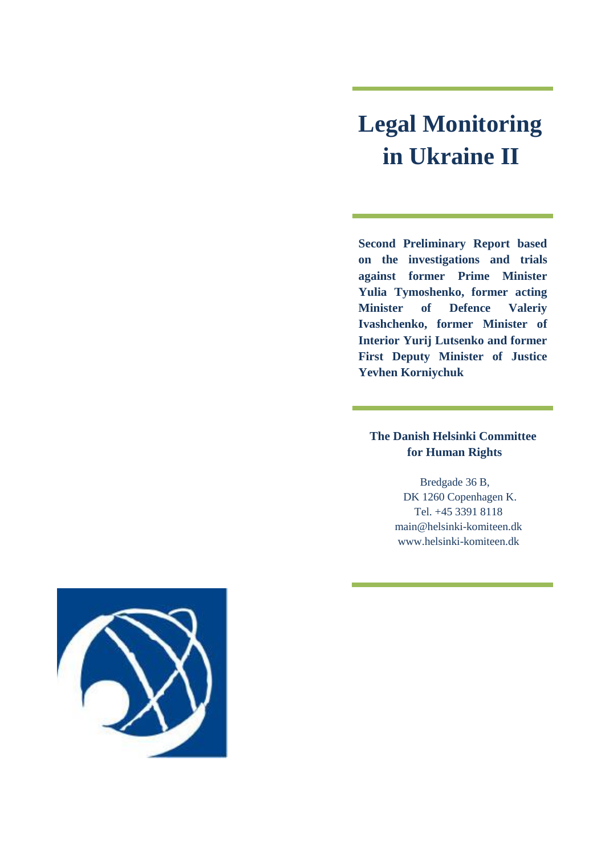# **Legal Monitoring in Ukraine II**

**Second Preliminary Report based on the investigations and trials against former Prime Minister Yulia Tymoshenko, former acting Minister of Defence Valeriy Ivashchenko, former Minister of Interior Yurij Lutsenko and former First Deputy Minister of Justice Yevhen Korniychuk**

# **The Danish Helsinki Committee for Human Rights**

 Bredgade 36 B, DK 1260 Copenhagen K. Tel. +45 3391 8118 [main@helsinki-komiteen.dk](mailto:main@helsinki-komiteen.dk) www.helsinki-komiteen.dk

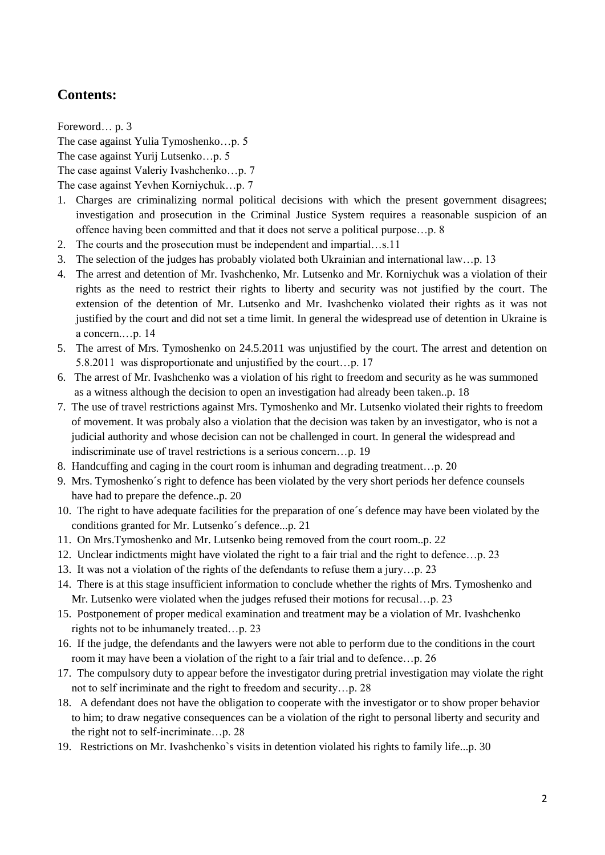# **Contents:**

Foreword… p. 3 The case against Yulia Tymoshenko…p. 5 The case against Yurij Lutsenko…p. 5 The case against Valeriy Ivashchenko…p. 7 The case against Yevhen Korniychuk…p. 7

- 1. Charges are criminalizing normal political decisions with which the present government disagrees; investigation and prosecution in the Criminal Justice System requires a reasonable suspicion of an offence having been committed and that it does not serve a political purpose…p. 8
- 2. The courts and the prosecution must be independent and impartial…s.11
- 3. The selection of the judges has probably violated both Ukrainian and international law…p. 13
- 4. The arrest and detention of Mr. Ivashchenko, Mr. Lutsenko and Mr. Korniychuk was a violation of their rights as the need to restrict their rights to liberty and security was not justified by the court. The extension of the detention of Mr. Lutsenko and Mr. Ivashchenko violated their rights as it was not justified by the court and did not set a time limit. In general the widespread use of detention in Ukraine is a concern.…p. 14
- 5. The arrest of Mrs. Tymoshenko on 24.5.2011 was unjustified by the court. The arrest and detention on 5.8.2011 was disproportionate and unjustified by the court…p. 17
- 6. The arrest of Mr. Ivashchenko was a violation of his right to freedom and security as he was summoned as a witness although the decision to open an investigation had already been taken..p. 18
- 7. The use of travel restrictions against Mrs. Tymoshenko and Mr. Lutsenko violated their rights to freedom of movement. It was probaly also a violation that the decision was taken by an investigator, who is not a judicial authority and whose decision can not be challenged in court. In general the widespread and indiscriminate use of travel restrictions is a serious concern…p. 19
- 8. Handcuffing and caging in the court room is inhuman and degrading treatment…p. 20
- 9. Mrs. Tymoshenko´s right to defence has been violated by the very short periods her defence counsels have had to prepare the defence..p. 20
- 10. The right to have adequate facilities for the preparation of one´s defence may have been violated by the conditions granted for Mr. Lutsenko´s defence...p. 21
- 11. On Mrs.Tymoshenko and Mr. Lutsenko being removed from the court room..p. 22
- 12. Unclear indictments might have violated the right to a fair trial and the right to defence…p. 23
- 13. It was not a violation of the rights of the defendants to refuse them a jury…p. 23
- 14. There is at this stage insufficient information to conclude whether the rights of Mrs. Tymoshenko and Mr. Lutsenko were violated when the judges refused their motions for recusal…p. 23
- 15. Postponement of proper medical examination and treatment may be a violation of Mr. Ivashchenko rights not to be inhumanely treated…p. 23
- 16. If the judge, the defendants and the lawyers were not able to perform due to the conditions in the court room it may have been a violation of the right to a fair trial and to defence…p. 26
- 17. The compulsory duty to appear before the investigator during pretrial investigation may violate the right not to self incriminate and the right to freedom and security…p. 28
- 18. A defendant does not have the obligation to cooperate with the investigator or to show proper behavior to him; to draw negative consequences can be a violation of the right to personal liberty and security and the right not to self-incriminate…p. 28
- 19. Restrictions on Mr. Ivashchenko`s visits in detention violated his rights to family life...p. 30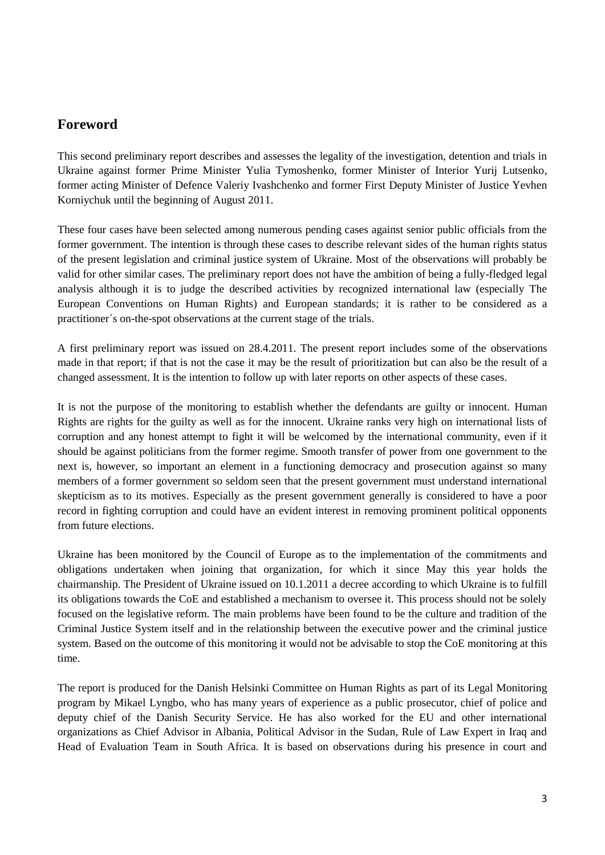# **Foreword**

This second preliminary report describes and assesses the legality of the investigation, detention and trials in Ukraine against former Prime Minister Yulia Tymoshenko, former Minister of Interior Yurij Lutsenko, former acting Minister of Defence Valeriy Ivashchenko and former First Deputy Minister of Justice Yevhen Korniychuk until the beginning of August 2011.

These four cases have been selected among numerous pending cases against senior public officials from the former government. The intention is through these cases to describe relevant sides of the human rights status of the present legislation and criminal justice system of Ukraine. Most of the observations will probably be valid for other similar cases. The preliminary report does not have the ambition of being a fully-fledged legal analysis although it is to judge the described activities by recognized international law (especially The European Conventions on Human Rights) and European standards; it is rather to be considered as a practitioner´s on-the-spot observations at the current stage of the trials.

A first preliminary report was issued on 28.4.2011. The present report includes some of the observations made in that report; if that is not the case it may be the result of prioritization but can also be the result of a changed assessment. It is the intention to follow up with later reports on other aspects of these cases.

It is not the purpose of the monitoring to establish whether the defendants are guilty or innocent. Human Rights are rights for the guilty as well as for the innocent. Ukraine ranks very high on international lists of corruption and any honest attempt to fight it will be welcomed by the international community, even if it should be against politicians from the former regime. Smooth transfer of power from one government to the next is, however, so important an element in a functioning democracy and prosecution against so many members of a former government so seldom seen that the present government must understand international skepticism as to its motives. Especially as the present government generally is considered to have a poor record in fighting corruption and could have an evident interest in removing prominent political opponents from future elections.

Ukraine has been monitored by the Council of Europe as to the implementation of the commitments and obligations undertaken when joining that organization, for which it since May this year holds the chairmanship. The President of Ukraine issued on 10.1.2011 a decree according to which Ukraine is to fulfill its obligations towards the CoE and established a mechanism to oversee it. This process should not be solely focused on the legislative reform. The main problems have been found to be the culture and tradition of the Criminal Justice System itself and in the relationship between the executive power and the criminal justice system. Based on the outcome of this monitoring it would not be advisable to stop the CoE monitoring at this time.

The report is produced for the Danish Helsinki Committee on Human Rights as part of its Legal Monitoring program by Mikael Lyngbo, who has many years of experience as a public prosecutor, chief of police and deputy chief of the Danish Security Service. He has also worked for the EU and other international organizations as Chief Advisor in Albania, Political Advisor in the Sudan, Rule of Law Expert in Iraq and Head of Evaluation Team in South Africa. It is based on observations during his presence in court and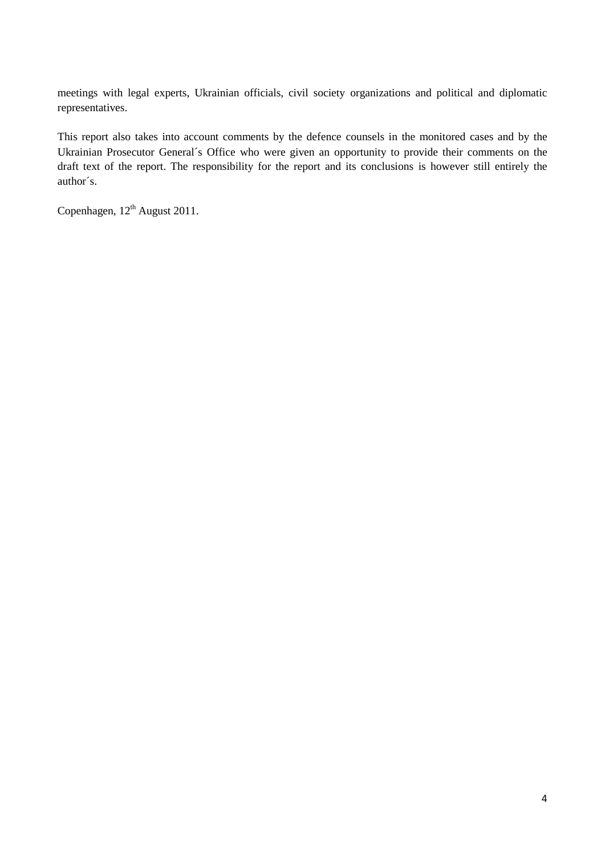meetings with legal experts, Ukrainian officials, civil society organizations and political and diplomatic representatives.

This report also takes into account comments by the defence counsels in the monitored cases and by the Ukrainian Prosecutor General´s Office who were given an opportunity to provide their comments on the draft text of the report. The responsibility for the report and its conclusions is however still entirely the author´s.

Copenhagen,  $12<sup>th</sup>$  August 2011.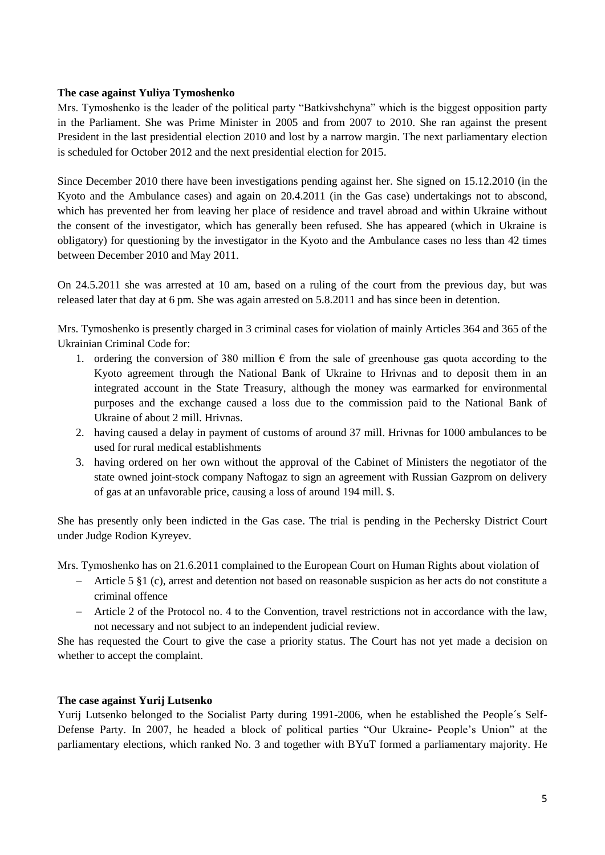#### **The case against Yuliya Tymoshenko**

Mrs. Tymoshenko is the leader of the political party "Batkivshchyna" which is the biggest opposition party in the Parliament. She was Prime Minister in 2005 and from 2007 to 2010. She ran against the present President in the last presidential election 2010 and lost by a narrow margin. The next parliamentary election is scheduled for October 2012 and the next presidential election for 2015.

Since December 2010 there have been investigations pending against her. She signed on 15.12.2010 (in the Kyoto and the Ambulance cases) and again on 20.4.2011 (in the Gas case) undertakings not to abscond, which has prevented her from leaving her place of residence and travel abroad and within Ukraine without the consent of the investigator, which has generally been refused. She has appeared (which in Ukraine is obligatory) for questioning by the investigator in the Kyoto and the Ambulance cases no less than 42 times between December 2010 and May 2011.

On 24.5.2011 she was arrested at 10 am, based on a ruling of the court from the previous day, but was released later that day at 6 pm. She was again arrested on 5.8.2011 and has since been in detention.

Mrs. Tymoshenko is presently charged in 3 criminal cases for violation of mainly Articles 364 and 365 of the Ukrainian Criminal Code for:

- 1. ordering the conversion of 380 million  $\epsilon$  from the sale of greenhouse gas quota according to the Kyoto agreement through the National Bank of Ukraine to Hrivnas and to deposit them in an integrated account in the State Treasury, although the money was earmarked for environmental purposes and the exchange caused a loss due to the commission paid to the National Bank of Ukraine of about 2 mill. Hrivnas.
- 2. having caused a delay in payment of customs of around 37 mill. Hrivnas for 1000 ambulances to be used for rural medical establishments
- 3. having ordered on her own without the approval of the Cabinet of Ministers the negotiator of the state owned joint-stock company Naftogaz to sign an agreement with Russian Gazprom on delivery of gas at an unfavorable price, causing a loss of around 194 mill. \$.

She has presently only been indicted in the Gas case. The trial is pending in the Pechersky District Court under Judge Rodion Kyreyev.

Mrs. Tymoshenko has on 21.6.2011 complained to the European Court on Human Rights about violation of

- Article 5 §1 (c), arrest and detention not based on reasonable suspicion as her acts do not constitute a criminal offence
- Article 2 of the Protocol no. 4 to the Convention, travel restrictions not in accordance with the law, not necessary and not subject to an independent judicial review.

She has requested the Court to give the case a priority status. The Court has not yet made a decision on whether to accept the complaint.

#### **The case against Yurij Lutsenko**

Yurij Lutsenko belonged to the Socialist Party during 1991-2006, when he established the People´s Self-Defense Party. In 2007, he headed a block of political parties "Our Ukraine- People's Union" at the parliamentary elections, which ranked No. 3 and together with BYuT formed a parliamentary majority. He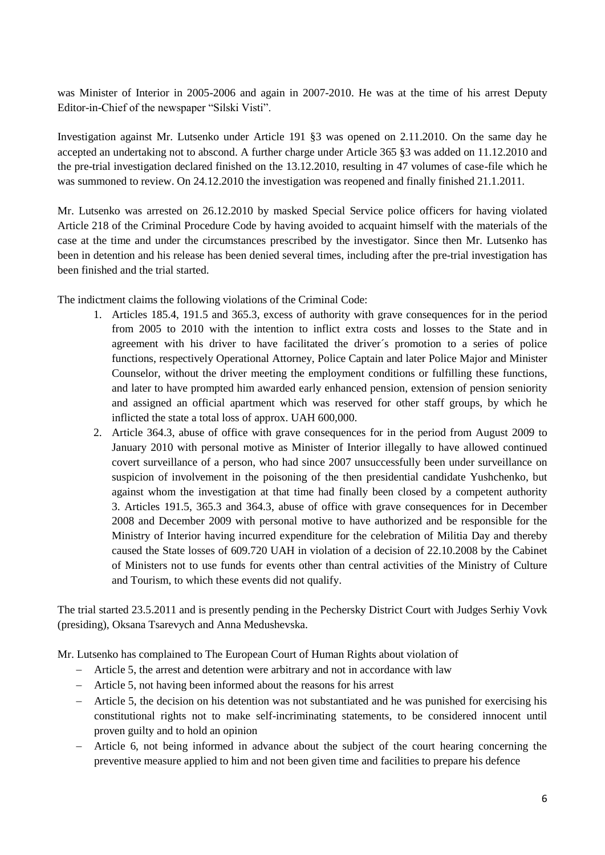was Minister of Interior in 2005-2006 and again in 2007-2010. He was at the time of his arrest Deputy Editor-in-Chief of the newspaper "Silski Visti".

Investigation against Mr. Lutsenko under Article 191 §3 was opened on 2.11.2010. On the same day he accepted an undertaking not to abscond. A further charge under Article 365 §3 was added on 11.12.2010 and the pre-trial investigation declared finished on the 13.12.2010, resulting in 47 volumes of case-file which he was summoned to review. On  $24.12.2010$  the investigation was reopened and finally finished  $21.1.2011$ .

Mr. Lutsenko was arrested on 26.12.2010 by masked Special Service police officers for having violated Article 218 of the Criminal Procedure Code by having avoided to acquaint himself with the materials of the case at the time and under the circumstances prescribed by the investigator. Since then Mr. Lutsenko has been in detention and his release has been denied several times, including after the pre-trial investigation has been finished and the trial started.

The indictment claims the following violations of the Criminal Code:

- 1. Articles 185.4, 191.5 and 365.3, excess of authority with grave consequences for in the period from 2005 to 2010 with the intention to inflict extra costs and losses to the State and in agreement with his driver to have facilitated the driver´s promotion to a series of police functions, respectively Operational Attorney, Police Captain and later Police Major and Minister Counselor, without the driver meeting the employment conditions or fulfilling these functions, and later to have prompted him awarded early enhanced pension, extension of pension seniority and assigned an official apartment which was reserved for other staff groups, by which he inflicted the state a total loss of approx. UAH 600,000.
- 2. Article 364.3, abuse of office with grave consequences for in the period from August 2009 to January 2010 with personal motive as Minister of Interior illegally to have allowed continued covert surveillance of a person, who had since 2007 unsuccessfully been under surveillance on suspicion of involvement in the poisoning of the then presidential candidate Yushchenko, but against whom the investigation at that time had finally been closed by a competent authority 3. Articles 191.5, 365.3 and 364.3, abuse of office with grave consequences for in December 2008 and December 2009 with personal motive to have authorized and be responsible for the Ministry of Interior having incurred expenditure for the celebration of Militia Day and thereby caused the State losses of 609.720 UAH in violation of a decision of 22.10.2008 by the Cabinet of Ministers not to use funds for events other than central activities of the Ministry of Culture and Tourism, to which these events did not qualify.

The trial started 23.5.2011 and is presently pending in the Pechersky District Court with Judges Serhiy Vovk (presiding), Oksana Tsarevych and Anna Medushevska.

Mr. Lutsenko has complained to The European Court of Human Rights about violation of

- Article 5, the arrest and detention were arbitrary and not in accordance with law
- Article 5, not having been informed about the reasons for his arrest
- Article 5, the decision on his detention was not substantiated and he was punished for exercising his constitutional rights not to make self-incriminating statements, to be considered innocent until proven guilty and to hold an opinion
- Article 6, not being informed in advance about the subject of the court hearing concerning the preventive measure applied to him and not been given time and facilities to prepare his defence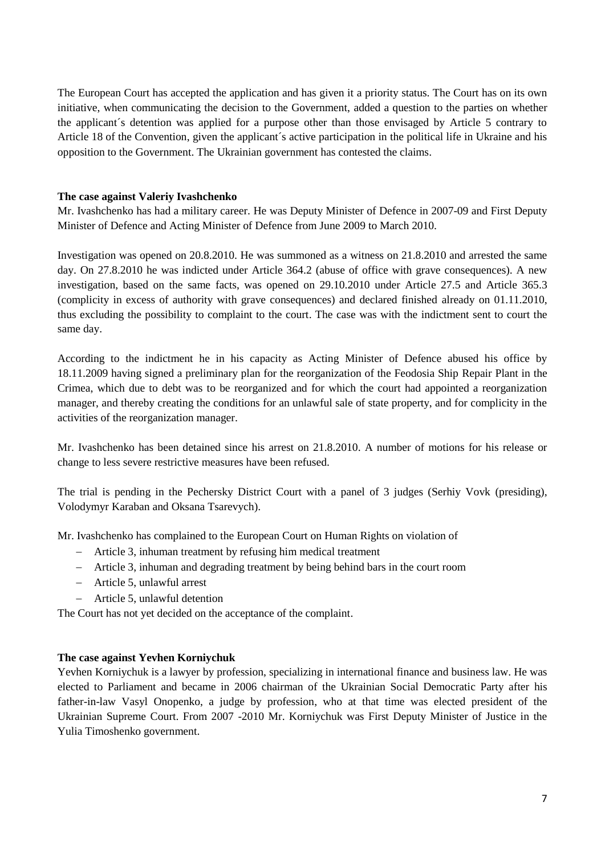The European Court has accepted the application and has given it a priority status. The Court has on its own initiative, when communicating the decision to the Government, added a question to the parties on whether the applicant´s detention was applied for a purpose other than those envisaged by Article 5 contrary to Article 18 of the Convention, given the applicant´s active participation in the political life in Ukraine and his opposition to the Government. The Ukrainian government has contested the claims.

#### **The case against Valeriy Ivashchenko**

Mr. Ivashchenko has had a military career. He was Deputy Minister of Defence in 2007-09 and First Deputy Minister of Defence and Acting Minister of Defence from June 2009 to March 2010.

Investigation was opened on 20.8.2010. He was summoned as a witness on 21.8.2010 and arrested the same day. On 27.8.2010 he was indicted under Article 364.2 (abuse of office with grave consequences). A new investigation, based on the same facts, was opened on 29.10.2010 under Article 27.5 and Article 365.3 (complicity in excess of authority with grave consequences) and declared finished already on 01.11.2010, thus excluding the possibility to complaint to the court. The case was with the indictment sent to court the same day.

According to the indictment he in his capacity as Acting Minister of Defence abused his office by 18.11.2009 having signed a preliminary plan for the reorganization of the Feodosia Ship Repair Plant in the Crimea, which due to debt was to be reorganized and for which the court had appointed a reorganization manager, and thereby creating the conditions for an unlawful sale of state property, and for complicity in the activities of the reorganization manager.

Mr. Ivashchenko has been detained since his arrest on 21.8.2010. A number of motions for his release or change to less severe restrictive measures have been refused.

The trial is pending in the Pechersky District Court with a panel of 3 judges (Serhiy Vovk (presiding), Volodymyr Karaban and Oksana Tsarevych).

Mr. Ivashchenko has complained to the European Court on Human Rights on violation of

- Article 3, inhuman treatment by refusing him medical treatment
- Article 3, inhuman and degrading treatment by being behind bars in the court room
- Article 5, unlawful arrest
- Article 5, unlawful detention

The Court has not yet decided on the acceptance of the complaint.

#### **The case against Yevhen Korniychuk**

Yevhen Korniychuk is a lawyer by profession, specializing in international finance and business law. He was elected to Parliament and became in 2006 chairman of the Ukrainian Social Democratic Party after his father-in-law Vasyl Onopenko, a judge by profession, who at that time was elected president of the Ukrainian Supreme Court. From 2007 -2010 Mr. Korniychuk was First Deputy Minister of Justice in the Yulia Timoshenko government.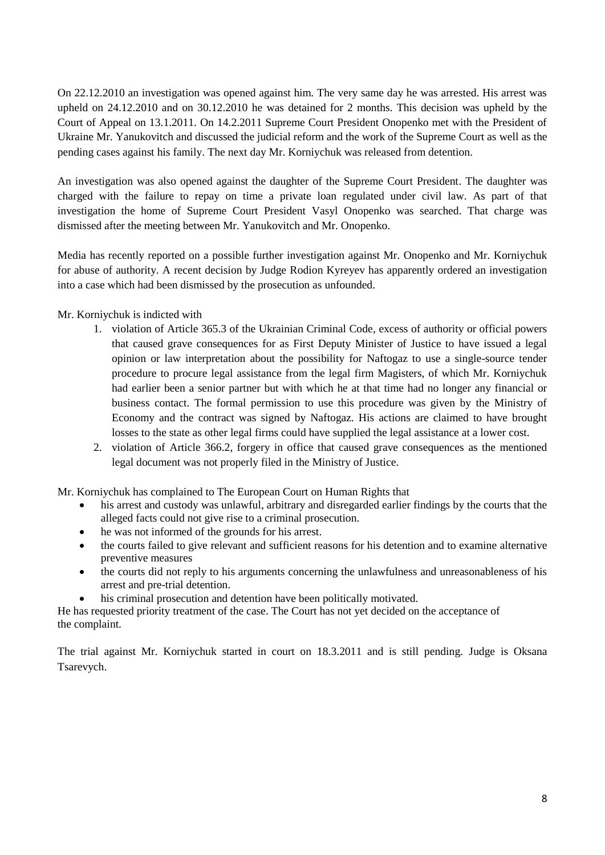On 22.12.2010 an investigation was opened against him. The very same day he was arrested. His arrest was upheld on 24.12.2010 and on 30.12.2010 he was detained for 2 months. This decision was upheld by the Court of Appeal on 13.1.2011. On 14.2.2011 Supreme Court President Onopenko met with the President of Ukraine Mr. Yanukovitch and discussed the judicial reform and the work of the Supreme Court as well as the pending cases against his family. The next day Mr. Korniychuk was released from detention.

An investigation was also opened against the daughter of the Supreme Court President. The daughter was charged with the failure to repay on time a private loan regulated under civil law. As part of that investigation the home of Supreme Court President Vasyl Onopenko was searched. That charge was dismissed after the meeting between Mr. Yanukovitch and Mr. Onopenko.

Media has recently reported on a possible further investigation against Mr. Onopenko and Mr. Korniychuk for abuse of authority. A recent decision by Judge Rodion Kyreyev has apparently ordered an investigation into a case which had been dismissed by the prosecution as unfounded.

# Mr. Korniychuk is indicted with

- 1. violation of Article 365.3 of the Ukrainian Criminal Code, excess of authority or official powers that caused grave consequences for as First Deputy Minister of Justice to have issued a legal opinion or law interpretation about the possibility for Naftogaz to use a single-source tender procedure to procure legal assistance from the legal firm Magisters, of which Mr. Korniychuk had earlier been a senior partner but with which he at that time had no longer any financial or business contact. The formal permission to use this procedure was given by the Ministry of Economy and the contract was signed by Naftogaz. His actions are claimed to have brought losses to the state as other legal firms could have supplied the legal assistance at a lower cost.
- 2. violation of Article 366.2, forgery in office that caused grave consequences as the mentioned legal document was not properly filed in the Ministry of Justice.

Mr. Korniychuk has complained to The European Court on Human Rights that

- his arrest and custody was unlawful, arbitrary and disregarded earlier findings by the courts that the alleged facts could not give rise to a criminal prosecution.
- he was not informed of the grounds for his arrest.
- the courts failed to give relevant and sufficient reasons for his detention and to examine alternative preventive measures
- the courts did not reply to his arguments concerning the unlawfulness and unreasonableness of his arrest and pre-trial detention.
- his criminal prosecution and detention have been politically motivated.

He has requested priority treatment of the case. The Court has not yet decided on the acceptance of the complaint.

The trial against Mr. Korniychuk started in court on 18.3.2011 and is still pending. Judge is Oksana Tsarevych.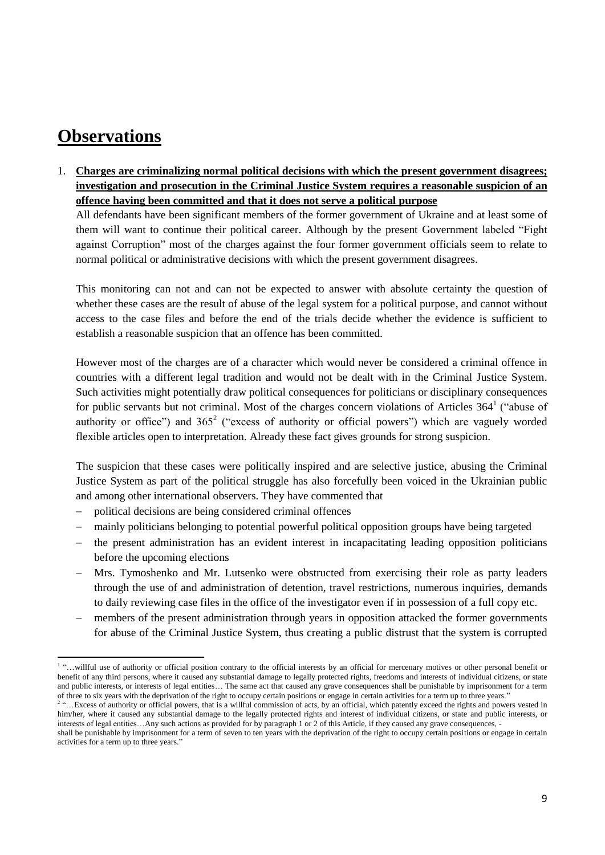# **Observations**

1. **Charges are criminalizing normal political decisions with which the present government disagrees; investigation and prosecution in the Criminal Justice System requires a reasonable suspicion of an offence having been committed and that it does not serve a political purpose**

All defendants have been significant members of the former government of Ukraine and at least some of them will want to continue their political career. Although by the present Government labeled "Fight against Corruption" most of the charges against the four former government officials seem to relate to normal political or administrative decisions with which the present government disagrees.

This monitoring can not and can not be expected to answer with absolute certainty the question of whether these cases are the result of abuse of the legal system for a political purpose, and cannot without access to the case files and before the end of the trials decide whether the evidence is sufficient to establish a reasonable suspicion that an offence has been committed.

However most of the charges are of a character which would never be considered a criminal offence in countries with a different legal tradition and would not be dealt with in the Criminal Justice System. Such activities might potentially draw political consequences for politicians or disciplinary consequences for public servants but not criminal. Most of the charges concern violations of Articles  $364<sup>1</sup>$  ("abuse of authority or office") and  $365<sup>2</sup>$  ("excess of authority or official powers") which are vaguely worded flexible articles open to interpretation. Already these fact gives grounds for strong suspicion.

The suspicion that these cases were politically inspired and are selective justice, abusing the Criminal Justice System as part of the political struggle has also forcefully been voiced in the Ukrainian public and among other international observers. They have commented that

- political decisions are being considered criminal offences
- mainly politicians belonging to potential powerful political opposition groups have being targeted
- the present administration has an evident interest in incapacitating leading opposition politicians before the upcoming elections
- Mrs. Tymoshenko and Mr. Lutsenko were obstructed from exercising their role as party leaders through the use of and administration of detention, travel restrictions, numerous inquiries, demands to daily reviewing case files in the office of the investigator even if in possession of a full copy etc.
- members of the present administration through years in opposition attacked the former governments for abuse of the Criminal Justice System, thus creating a public distrust that the system is corrupted

 $\overline{\phantom{a}}$ <sup>1</sup> "...willful use of authority or official position contrary to the official interests by an official for mercenary motives or other personal benefit or benefit of any third persons, where it caused any substantial damage to legally protected rights, freedoms and interests of individual citizens, or state and public interests, or interests of legal entities… The same act that caused any grave consequences shall be punishable by imprisonment for a term of three to six years with the deprivation of the right to occupy certain positions or engage in certain activities for a term up to three years."

<sup>&</sup>lt;sup>2</sup>...Excess of authority or official powers, that is a willful commission of acts, by an official, which patently exceed the rights and powers vested in him/her, where it caused any substantial damage to the legally protected rights and interest of individual citizens, or state and public interests, or interests of legal entities…Any such actions as provided for by paragraph 1 or 2 of this Article, if they caused any grave consequences, -

shall be punishable by imprisonment for a term of seven to ten years with the deprivation of the right to occupy certain positions or engage in certain activities for a term up to three years."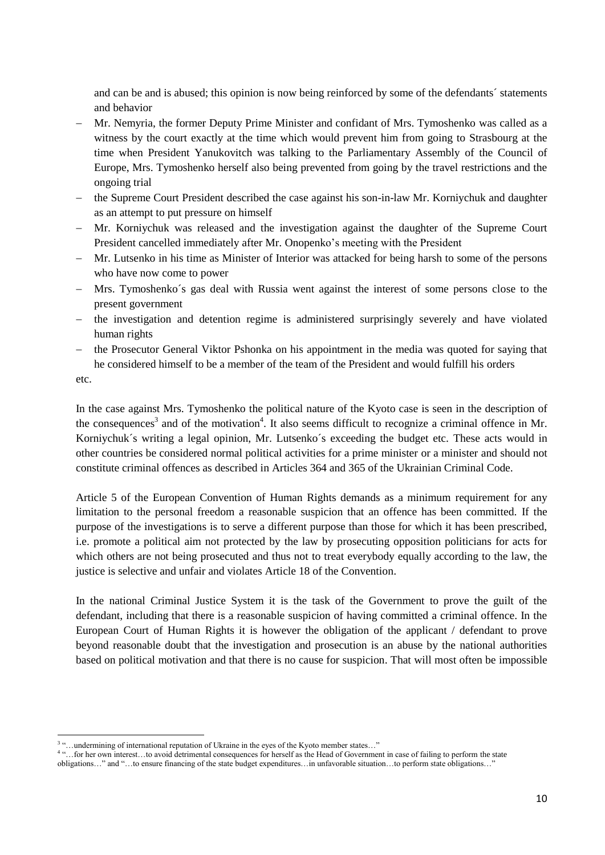and can be and is abused; this opinion is now being reinforced by some of the defendants´ statements and behavior

- Mr. Nemyria, the former Deputy Prime Minister and confidant of Mrs. Tymoshenko was called as a witness by the court exactly at the time which would prevent him from going to Strasbourg at the time when President Yanukovitch was talking to the Parliamentary Assembly of the Council of Europe, Mrs. Tymoshenko herself also being prevented from going by the travel restrictions and the ongoing trial
- the Supreme Court President described the case against his son-in-law Mr. Korniychuk and daughter as an attempt to put pressure on himself
- Mr. Korniychuk was released and the investigation against the daughter of the Supreme Court President cancelled immediately after Mr. Onopenko's meeting with the President
- Mr. Lutsenko in his time as Minister of Interior was attacked for being harsh to some of the persons who have now come to power
- Mrs. Tymoshenko´s gas deal with Russia went against the interest of some persons close to the present government
- the investigation and detention regime is administered surprisingly severely and have violated human rights
- the Prosecutor General Viktor Pshonka on his appointment in the media was quoted for saying that he considered himself to be a member of the team of the President and would fulfill his orders

etc.

In the case against Mrs. Tymoshenko the political nature of the Kyoto case is seen in the description of the consequences<sup>3</sup> and of the motivation<sup>4</sup>. It also seems difficult to recognize a criminal offence in Mr. Korniychuk´s writing a legal opinion, Mr. Lutsenko´s exceeding the budget etc. These acts would in other countries be considered normal political activities for a prime minister or a minister and should not constitute criminal offences as described in Articles 364 and 365 of the Ukrainian Criminal Code.

Article 5 of the European Convention of Human Rights demands as a minimum requirement for any limitation to the personal freedom a reasonable suspicion that an offence has been committed. If the purpose of the investigations is to serve a different purpose than those for which it has been prescribed, i.e. promote a political aim not protected by the law by prosecuting opposition politicians for acts for which others are not being prosecuted and thus not to treat everybody equally according to the law, the justice is selective and unfair and violates Article 18 of the Convention.

In the national Criminal Justice System it is the task of the Government to prove the guilt of the defendant, including that there is a reasonable suspicion of having committed a criminal offence. In the European Court of Human Rights it is however the obligation of the applicant / defendant to prove beyond reasonable doubt that the investigation and prosecution is an abuse by the national authorities based on political motivation and that there is no cause for suspicion. That will most often be impossible

 3 "…undermining of international reputation of Ukraine in the eyes of the Kyoto member states…"

<sup>4</sup> "…for her own interest…to avoid detrimental consequences for herself as the Head of Government in case of failing to perform the state obligations…" and "…to ensure financing of the state budget expenditures…in unfavorable situation…to perform state obligations…"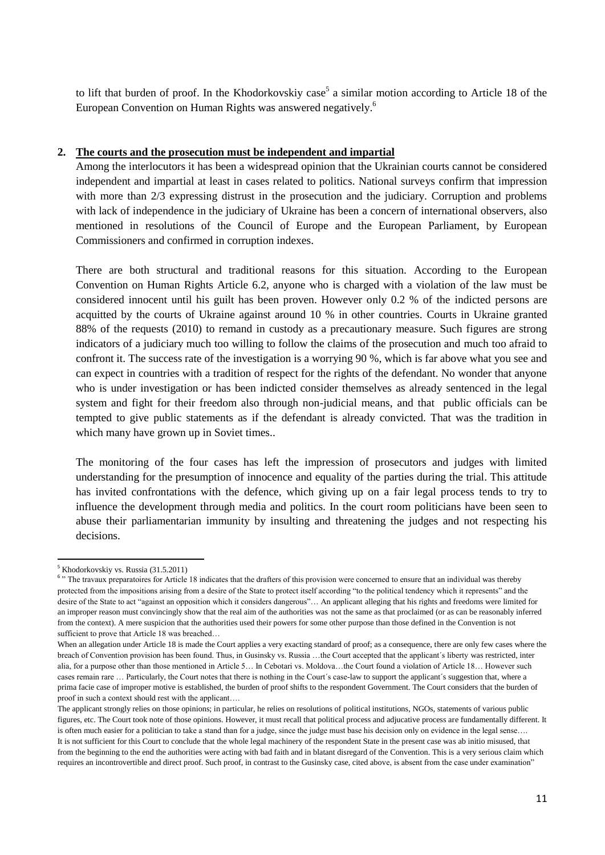to lift that burden of proof. In the Khodorkovskiy case<sup>5</sup> a similar motion according to Article 18 of the European Convention on Human Rights was answered negatively.<sup>6</sup>

#### **2. The courts and the prosecution must be independent and impartial**

Among the interlocutors it has been a widespread opinion that the Ukrainian courts cannot be considered independent and impartial at least in cases related to politics. National surveys confirm that impression with more than 2/3 expressing distrust in the prosecution and the judiciary. Corruption and problems with lack of independence in the judiciary of Ukraine has been a concern of international observers, also mentioned in resolutions of the Council of Europe and the European Parliament, by European Commissioners and confirmed in corruption indexes.

There are both structural and traditional reasons for this situation. According to the European Convention on Human Rights Article 6.2, anyone who is charged with a violation of the law must be considered innocent until his guilt has been proven. However only 0.2 % of the indicted persons are acquitted by the courts of Ukraine against around 10 % in other countries. Courts in Ukraine granted 88% of the requests (2010) to remand in custody as a precautionary measure. Such figures are strong indicators of a judiciary much too willing to follow the claims of the prosecution and much too afraid to confront it. The success rate of the investigation is a worrying 90 %, which is far above what you see and can expect in countries with a tradition of respect for the rights of the defendant. No wonder that anyone who is under investigation or has been indicted consider themselves as already sentenced in the legal system and fight for their freedom also through non-judicial means, and that public officials can be tempted to give public statements as if the defendant is already convicted. That was the tradition in which many have grown up in Soviet times..

The monitoring of the four cases has left the impression of prosecutors and judges with limited understanding for the presumption of innocence and equality of the parties during the trial. This attitude has invited confrontations with the defence, which giving up on a fair legal process tends to try to influence the development through media and politics. In the court room politicians have been seen to abuse their parliamentarian immunity by insulting and threatening the judges and not respecting his decisions.

**<sup>.</sup>** <sup>5</sup> Khodorkovskiy vs. Russia (31.5.2011)

<sup>&</sup>lt;sup>6</sup> "The travaux preparatoires for Article 18 indicates that the drafters of this provision were concerned to ensure that an individual was thereby protected from the impositions arising from a desire of the State to protect itself according "to the political tendency which it represents" and the desire of the State to act "against an opposition which it considers dangerous"… An applicant alleging that his rights and freedoms were limited for an improper reason must convincingly show that the real aim of the authorities was not the same as that proclaimed (or as can be reasonably inferred from the context). A mere suspicion that the authorities used their powers for some other purpose than those defined in the Convention is not sufficient to prove that Article 18 was breached...

When an allegation under Article 18 is made the Court applies a very exacting standard of proof; as a consequence, there are only few cases where the breach of Convention provision has been found. Thus, in Gusinsky vs. Russia …the Court accepted that the applicant´s liberty was restricted, inter alia, for a purpose other than those mentioned in Article 5… In Cebotari vs. Moldova…the Court found a violation of Article 18… However such cases remain rare … Particularly, the Court notes that there is nothing in the Court´s case-law to support the applicant´s suggestion that, where a prima facie case of improper motive is established, the burden of proof shifts to the respondent Government. The Court considers that the burden of proof in such a context should rest with the applicant….

The applicant strongly relies on those opinions; in particular, he relies on resolutions of political institutions, NGOs, statements of various public figures, etc. The Court took note of those opinions. However, it must recall that political process and adjucative process are fundamentally different. It is often much easier for a politician to take a stand than for a judge, since the judge must base his decision only on evidence in the legal sense.... It is not sufficient for this Court to conclude that the whole legal machinery of the respondent State in the present case was ab initio misused, that from the beginning to the end the authorities were acting with bad faith and in blatant disregard of the Convention. This is a very serious claim which requires an incontrovertible and direct proof. Such proof, in contrast to the Gusinsky case, cited above, is absent from the case under examination"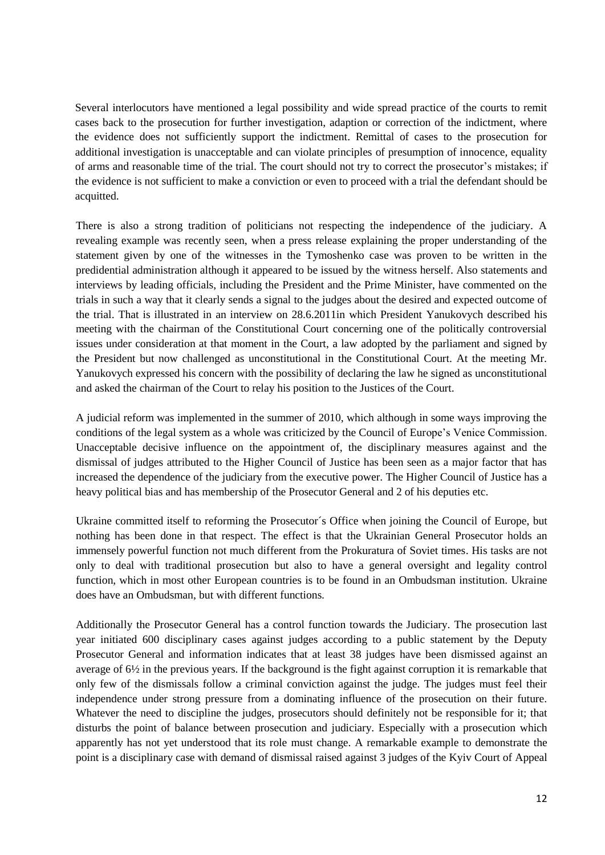Several interlocutors have mentioned a legal possibility and wide spread practice of the courts to remit cases back to the prosecution for further investigation, adaption or correction of the indictment, where the evidence does not sufficiently support the indictment. Remittal of cases to the prosecution for additional investigation is unacceptable and can violate principles of presumption of innocence, equality of arms and reasonable time of the trial. The court should not try to correct the prosecutor's mistakes; if the evidence is not sufficient to make a conviction or even to proceed with a trial the defendant should be acquitted.

There is also a strong tradition of politicians not respecting the independence of the judiciary. A revealing example was recently seen, when a press release explaining the proper understanding of the statement given by one of the witnesses in the Tymoshenko case was proven to be written in the predidential administration although it appeared to be issued by the witness herself. Also statements and interviews by leading officials, including the President and the Prime Minister, have commented on the trials in such a way that it clearly sends a signal to the judges about the desired and expected outcome of the trial. That is illustrated in an interview on 28.6.2011in which President Yanukovych described his meeting with the chairman of the Constitutional Court concerning one of the politically controversial issues under consideration at that moment in the Court, a law adopted by the parliament and signed by the President but now challenged as unconstitutional in the Constitutional Court. At the meeting Mr. Yanukovych expressed his concern with the possibility of declaring the law he signed as unconstitutional and asked the chairman of the Court to relay his position to the Justices of the Court.

A judicial reform was implemented in the summer of 2010, which although in some ways improving the conditions of the legal system as a whole was criticized by the Council of Europe's Venice Commission. Unacceptable decisive influence on the appointment of, the disciplinary measures against and the dismissal of judges attributed to the Higher Council of Justice has been seen as a major factor that has increased the dependence of the judiciary from the executive power. The Higher Council of Justice has a heavy political bias and has membership of the Prosecutor General and 2 of his deputies etc.

Ukraine committed itself to reforming the Prosecutor´s Office when joining the Council of Europe, but nothing has been done in that respect. The effect is that the Ukrainian General Prosecutor holds an immensely powerful function not much different from the Prokuratura of Soviet times. His tasks are not only to deal with traditional prosecution but also to have a general oversight and legality control function, which in most other European countries is to be found in an Ombudsman institution. Ukraine does have an Ombudsman, but with different functions.

Additionally the Prosecutor General has a control function towards the Judiciary. The prosecution last year initiated 600 disciplinary cases against judges according to a public statement by the Deputy Prosecutor General and information indicates that at least 38 judges have been dismissed against an average of 6½ in the previous years. If the background is the fight against corruption it is remarkable that only few of the dismissals follow a criminal conviction against the judge. The judges must feel their independence under strong pressure from a dominating influence of the prosecution on their future. Whatever the need to discipline the judges, prosecutors should definitely not be responsible for it; that disturbs the point of balance between prosecution and judiciary. Especially with a prosecution which apparently has not yet understood that its role must change. A remarkable example to demonstrate the point is a disciplinary case with demand of dismissal raised against 3 judges of the Kyiv Court of Appeal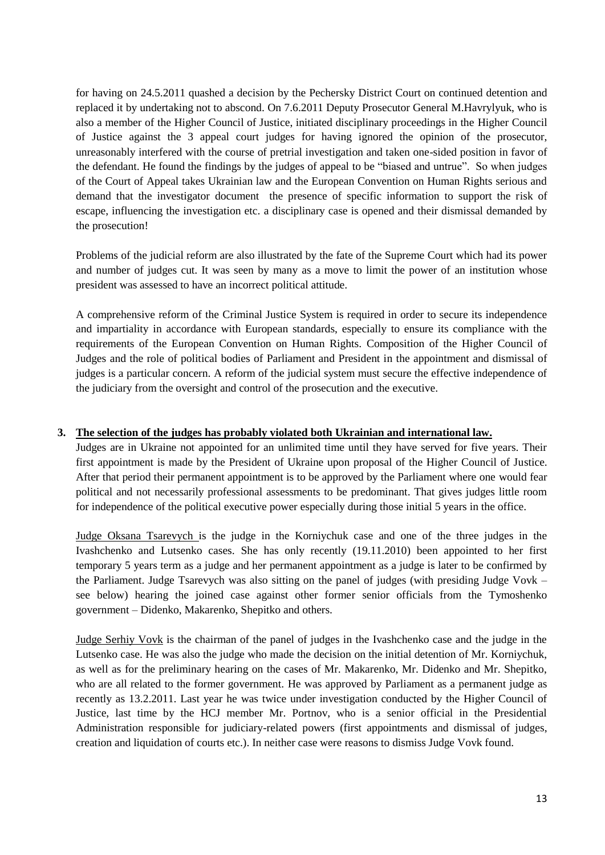for having on 24.5.2011 quashed a decision by the Pechersky District Court on continued detention and replaced it by undertaking not to abscond. On 7.6.2011 Deputy Prosecutor General M.Havrylyuk, who is also a member of the Higher Council of Justice, initiated disciplinary proceedings in the Higher Council of Justice against the 3 appeal court judges for having ignored the opinion of the prosecutor, unreasonably interfered with the course of pretrial investigation and taken one-sided position in favor of the defendant. He found the findings by the judges of appeal to be "biased and untrue". So when judges of the Court of Appeal takes Ukrainian law and the European Convention on Human Rights serious and demand that the investigator document the presence of specific information to support the risk of escape, influencing the investigation etc. a disciplinary case is opened and their dismissal demanded by the prosecution!

Problems of the judicial reform are also illustrated by the fate of the Supreme Court which had its power and number of judges cut. It was seen by many as a move to limit the power of an institution whose president was assessed to have an incorrect political attitude.

A comprehensive reform of the Criminal Justice System is required in order to secure its independence and impartiality in accordance with European standards, especially to ensure its compliance with the requirements of the European Convention on Human Rights. Composition of the Higher Council of Judges and the role of political bodies of Parliament and President in the appointment and dismissal of judges is a particular concern. A reform of the judicial system must secure the effective independence of the judiciary from the oversight and control of the prosecution and the executive.

#### **3. The selection of the judges has probably violated both Ukrainian and international law.**

Judges are in Ukraine not appointed for an unlimited time until they have served for five years. Their first appointment is made by the President of Ukraine upon proposal of the Higher Council of Justice. After that period their permanent appointment is to be approved by the Parliament where one would fear political and not necessarily professional assessments to be predominant. That gives judges little room for independence of the political executive power especially during those initial 5 years in the office.

Judge Oksana Tsarevych is the judge in the Korniychuk case and one of the three judges in the Ivashchenko and Lutsenko cases. She has only recently (19.11.2010) been appointed to her first temporary 5 years term as a judge and her permanent appointment as a judge is later to be confirmed by the Parliament. Judge Tsarevych was also sitting on the panel of judges (with presiding Judge Vovk – see below) hearing the joined case against other former senior officials from the Tymoshenko government – Didenko, Makarenko, Shepitko and others.

Judge Serhiy Vovk is the chairman of the panel of judges in the Ivashchenko case and the judge in the Lutsenko case. He was also the judge who made the decision on the initial detention of Mr. Korniychuk, as well as for the preliminary hearing on the cases of Mr. Makarenko, Mr. Didenko and Mr. Shepitko, who are all related to the former government. He was approved by Parliament as a permanent judge as recently as 13.2.2011. Last year he was twice under investigation conducted by the Higher Council of Justice, last time by the HCJ member Mr. Portnov, who is a senior official in the Presidential Administration responsible for judiciary-related powers (first appointments and dismissal of judges, creation and liquidation of courts etc.). In neither case were reasons to dismiss Judge Vovk found.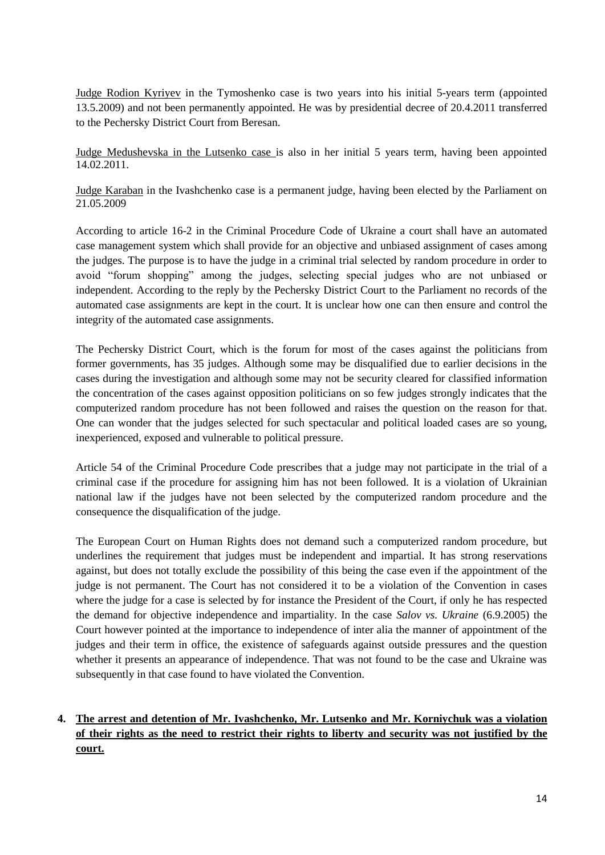Judge Rodion Kyriyev in the Tymoshenko case is two years into his initial 5-years term (appointed 13.5.2009) and not been permanently appointed. He was by presidential decree of 20.4.2011 transferred to the Pechersky District Court from Beresan.

Judge Medushevska in the Lutsenko case is also in her initial 5 years term, having been appointed 14.02.2011.

Judge Karaban in the Ivashchenko case is a permanent judge, having been elected by the Parliament on 21.05.2009

According to article 16-2 in the Criminal Procedure Code of Ukraine a court shall have an automated case management system which shall provide for an objective and unbiased assignment of cases among the judges. The purpose is to have the judge in a criminal trial selected by random procedure in order to avoid "forum shopping" among the judges, selecting special judges who are not unbiased or independent. According to the reply by the Pechersky District Court to the Parliament no records of the automated case assignments are kept in the court. It is unclear how one can then ensure and control the integrity of the automated case assignments.

The Pechersky District Court, which is the forum for most of the cases against the politicians from former governments, has 35 judges. Although some may be disqualified due to earlier decisions in the cases during the investigation and although some may not be security cleared for classified information the concentration of the cases against opposition politicians on so few judges strongly indicates that the computerized random procedure has not been followed and raises the question on the reason for that. One can wonder that the judges selected for such spectacular and political loaded cases are so young, inexperienced, exposed and vulnerable to political pressure.

Article 54 of the Criminal Procedure Code prescribes that a judge may not participate in the trial of a criminal case if the procedure for assigning him has not been followed. It is a violation of Ukrainian national law if the judges have not been selected by the computerized random procedure and the consequence the disqualification of the judge.

The European Court on Human Rights does not demand such a computerized random procedure, but underlines the requirement that judges must be independent and impartial. It has strong reservations against, but does not totally exclude the possibility of this being the case even if the appointment of the judge is not permanent. The Court has not considered it to be a violation of the Convention in cases where the judge for a case is selected by for instance the President of the Court, if only he has respected the demand for objective independence and impartiality. In the case *Salov vs. Ukraine* (6.9.2005) the Court however pointed at the importance to independence of inter alia the manner of appointment of the judges and their term in office, the existence of safeguards against outside pressures and the question whether it presents an appearance of independence. That was not found to be the case and Ukraine was subsequently in that case found to have violated the Convention.

# **4. The arrest and detention of Mr. Ivashchenko, Mr. Lutsenko and Mr. Korniychuk was a violation of their rights as the need to restrict their rights to liberty and security was not justified by the court.**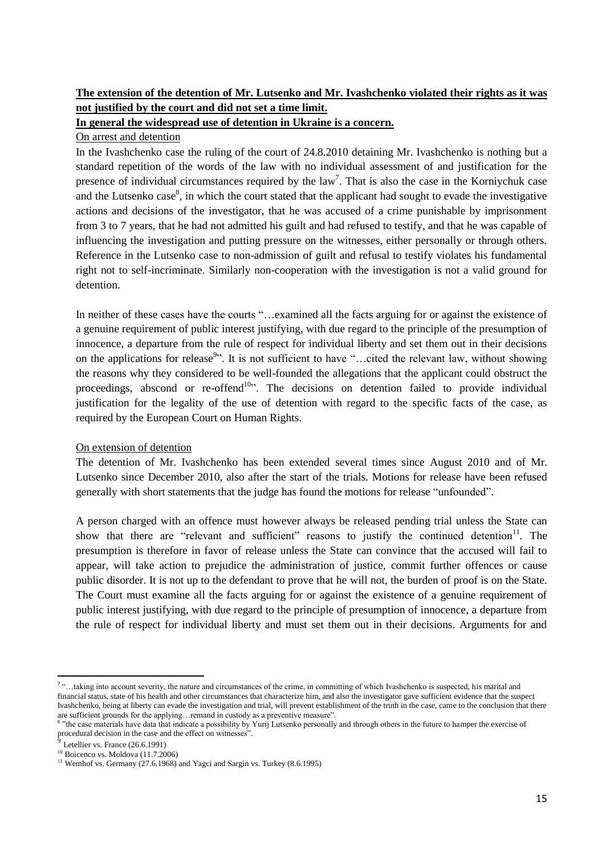# **The extension of the detention of Mr. Lutsenko and Mr. Ivashchenko violated their rights as it was not justified by the court and did not set a time limit.**

#### **In general the widespread use of detention in Ukraine is a concern.**

#### On arrest and detention

In the Ivashchenko case the ruling of the court of 24.8.2010 detaining Mr. Ivashchenko is nothing but a standard repetition of the words of the law with no individual assessment of and justification for the presence of individual circumstances required by the  $law<sup>7</sup>$ . That is also the case in the Korniychuk case and the Lutsenko case<sup>8</sup>, in which the court stated that the applicant had sought to evade the investigative actions and decisions of the investigator, that he was accused of a crime punishable by imprisonment from 3 to 7 years, that he had not admitted his guilt and had refused to testify, and that he was capable of influencing the investigation and putting pressure on the witnesses, either personally or through others. Reference in the Lutsenko case to non-admission of guilt and refusal to testify violates his fundamental right not to self-incriminate. Similarly non-cooperation with the investigation is not a valid ground for detention.

In neither of these cases have the courts "...examined all the facts arguing for or against the existence of a genuine requirement of public interest justifying, with due regard to the principle of the presumption of innocence, a departure from the rule of respect for individual liberty and set them out in their decisions on the applications for release<sup>9</sup>". It is not sufficient to have "...cited the relevant law, without showing the reasons why they considered to be well-founded the allegations that the applicant could obstruct the proceedings, abscond or re-offend<sup>10</sup>. The decisions on detention failed to provide individual justification for the legality of the use of detention with regard to the specific facts of the case, as required by the European Court on Human Rights.

#### On extension of detention

The detention of Mr. Ivashchenko has been extended several times since August 2010 and of Mr. Lutsenko since December 2010, also after the start of the trials. Motions for release have been refused generally with short statements that the judge has found the motions for release "unfounded".

A person charged with an offence must however always be released pending trial unless the State can show that there are "relevant and sufficient" reasons to justify the continued detention<sup>11</sup>. The presumption is therefore in favor of release unless the State can convince that the accused will fail to appear, will take action to prejudice the administration of justice, commit further offences or cause public disorder. It is not up to the defendant to prove that he will not, the burden of proof is on the State. The Court must examine all the facts arguing for or against the existence of a genuine requirement of public interest justifying, with due regard to the principle of presumption of innocence, a departure from the rule of respect for individual liberty and must set them out in their decisions. Arguments for and

 7 "…taking into account severity, the nature and circumstances of the crime, in committing of which Ivashchenko is suspected, his marital and financial status, state of his health and other circumstances that characterize him, and also the investigator gave sufficient evidence that the suspect Ivashchenko, being at liberty can evade the investigation and trial, will prevent establishment of the truth in the case, came to the conclusion that there are sufficient grounds for the applying...remand in custody as a preventive measure".<br><sup>8</sup> "the age meterials have data that indicate a possibility by Varii I utends personally

<sup>&</sup>quot;the case materials have data that indicate a possibility by Yurij Lutsenko personally and through others in the future to hamper the exercise of procedural decision in the case and the effect on witnesses".

Letellier vs. France (26.6.1991)

 $10$  Boicenco vs. Moldova (11.7.2006)

<sup>&</sup>lt;sup>11</sup> Wemhof vs. Germany (27.6.1968) and Yagci and Sargin vs. Turkey (8.6.1995)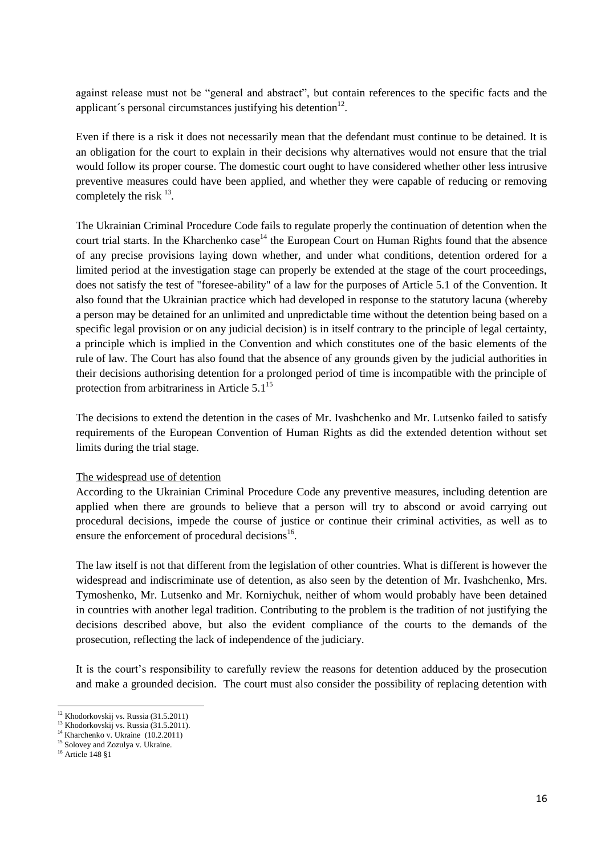against release must not be "general and abstract", but contain references to the specific facts and the applicant's personal circumstances justifying his detention $12$ .

Even if there is a risk it does not necessarily mean that the defendant must continue to be detained. It is an obligation for the court to explain in their decisions why alternatives would not ensure that the trial would follow its proper course. The domestic court ought to have considered whether other less intrusive preventive measures could have been applied, and whether they were capable of reducing or removing completely the risk <sup>13</sup>.

The Ukrainian Criminal Procedure Code fails to regulate properly the continuation of detention when the court trial starts. In the Kharchenko case<sup>14</sup> the European Court on Human Rights found that the absence of any precise provisions laying down whether, and under what conditions, detention ordered for a limited period at the investigation stage can properly be extended at the stage of the court proceedings, does not satisfy the test of "foresee-ability" of a law for the purposes of Article 5.1 of the Convention. It also found that the Ukrainian practice which had developed in response to the statutory lacuna (whereby a person may be detained for an unlimited and unpredictable time without the detention being based on a specific legal provision or on any judicial decision) is in itself contrary to the principle of legal certainty, a principle which is implied in the Convention and which constitutes one of the basic elements of the rule of law. The Court has also found that the absence of any grounds given by the judicial authorities in their decisions authorising detention for a prolonged period of time is incompatible with the principle of protection from arbitrariness in Article  $5.1<sup>15</sup>$ 

The decisions to extend the detention in the cases of Mr. Ivashchenko and Mr. Lutsenko failed to satisfy requirements of the European Convention of Human Rights as did the extended detention without set limits during the trial stage.

#### The widespread use of detention

According to the Ukrainian Criminal Procedure Code any preventive measures, including detention are applied when there are grounds to believe that a person will try to abscond or avoid carrying out procedural decisions, impede the course of justice or continue their criminal activities, as well as to ensure the enforcement of procedural decisions $^{16}$ .

The law itself is not that different from the legislation of other countries. What is different is however the widespread and indiscriminate use of detention, as also seen by the detention of Mr. Ivashchenko, Mrs. Tymoshenko, Mr. Lutsenko and Mr. Korniychuk, neither of whom would probably have been detained in countries with another legal tradition. Contributing to the problem is the tradition of not justifying the decisions described above, but also the evident compliance of the courts to the demands of the prosecution, reflecting the lack of independence of the judiciary.

It is the court's responsibility to carefully review the reasons for detention adduced by the prosecution and make a grounded decision. The court must also consider the possibility of replacing detention with

<sup>1</sup> <sup>12</sup> Khodorkovskij vs. Russia (31.5.2011)

<sup>&</sup>lt;sup>13</sup> Khodorkovskij vs. Russia (31.5.2011).

 $14$  Kharchenko v. Ukraine (10.2.2011)

<sup>&</sup>lt;sup>15</sup> Solovey and Zozulya v. Ukraine.

<sup>16</sup> Article 148 §1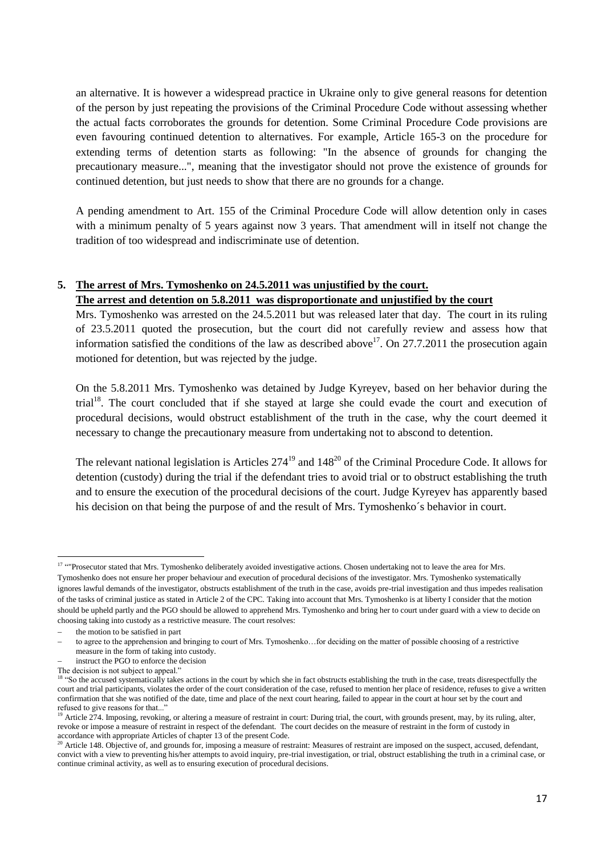an alternative. It is however a widespread practice in Ukraine only to give general reasons for detention of the person by just repeating the provisions of the Criminal Procedure Code without assessing whether the actual facts corroborates the grounds for detention. Some Criminal Procedure Code provisions are even favouring continued detention to alternatives. For example, Article 165-3 on the procedure for extending terms of detention starts as following: "In the absence of grounds for changing the precautionary measure...", meaning that the investigator should not prove the existence of grounds for continued detention, but just needs to show that there are no grounds for a change.

A pending amendment to Art. 155 of the Criminal Procedure Code will allow detention only in cases with a minimum penalty of 5 years against now 3 years. That amendment will in itself not change the tradition of too widespread and indiscriminate use of detention.

#### **5. The arrest of Mrs. Tymoshenko on 24.5.2011 was unjustified by the court.**

#### **The arrest and detention on 5.8.2011 was disproportionate and unjustified by the court**

Mrs. Tymoshenko was arrested on the 24.5.2011 but was released later that day. The court in its ruling of 23.5.2011 quoted the prosecution, but the court did not carefully review and assess how that information satisfied the conditions of the law as described above<sup>17</sup>. On 27.7.2011 the prosecution again motioned for detention, but was rejected by the judge.

On the 5.8.2011 Mrs. Tymoshenko was detained by Judge Kyreyev, based on her behavior during the trial<sup>18</sup>. The court concluded that if she stayed at large she could evade the court and execution of procedural decisions, would obstruct establishment of the truth in the case, why the court deemed it necessary to change the precautionary measure from undertaking not to abscond to detention.

The relevant national legislation is Articles  $274^{19}$  and  $148^{20}$  of the Criminal Procedure Code. It allows for detention (custody) during the trial if the defendant tries to avoid trial or to obstruct establishing the truth and to ensure the execution of the procedural decisions of the court. Judge Kyreyev has apparently based his decision on that being the purpose of and the result of Mrs. Tymoshenko´s behavior in court.

 $\overline{a}$ <sup>17 "</sup>Prosecutor stated that Mrs. Tymoshenko deliberately avoided investigative actions. Chosen undertaking not to leave the area for Mrs.

Tymoshenko does not ensure her proper behaviour and execution of procedural decisions of the investigator. Mrs. Tymoshenko systematically ignores lawful demands of the investigator, obstructs establishment of the truth in the case, avoids pre-trial investigation and thus impedes realisation of the tasks of criminal justice as stated in Article 2 of the CPC. Taking into account that Mrs. Tymoshenko is at liberty I consider that the motion should be upheld partly and the PGO should be allowed to apprehend Mrs. Tymoshenko and bring her to court under guard with a view to decide on choosing taking into custody as a restrictive measure. The court resolves:

the motion to be satisfied in part

to agree to the apprehension and bringing to court of Mrs. Tymoshenko…for deciding on the matter of possible choosing of a restrictive measure in the form of taking into custody.

instruct the PGO to enforce the decision

The decision is not subject to appeal."

<sup>&</sup>lt;sup>18</sup> "So the accused systematically takes actions in the court by which she in fact obstructs establishing the truth in the case, treats disrespectfully the court and trial participants, violates the order of the court consideration of the case, refused to mention her place of residence, refuses to give a written confirmation that she was notified of the date, time and place of the next court hearing, failed to appear in the court at hour set by the court and refused to give reasons for that...

<sup>&</sup>lt;sup>19</sup> Article 274. Imposing, revoking, or altering a measure of restraint in court: During trial, the court, with grounds present, may, by its ruling, alter, revoke or impose a measure of restraint in respect of the defendant. The court decides on the measure of restraint in the form of custody in accordance with appropriate Articles of chapter 13 of the present Code.

<sup>&</sup>lt;sup>20</sup> Article 148. Objective of, and grounds for, imposing a measure of restraint: Measures of restraint are imposed on the suspect, accused, defendant, convict with a view to preventing his/her attempts to avoid inquiry, pre-trial investigation, or trial, obstruct establishing the truth in a criminal case, or continue criminal activity, as well as to ensuring execution of procedural decisions.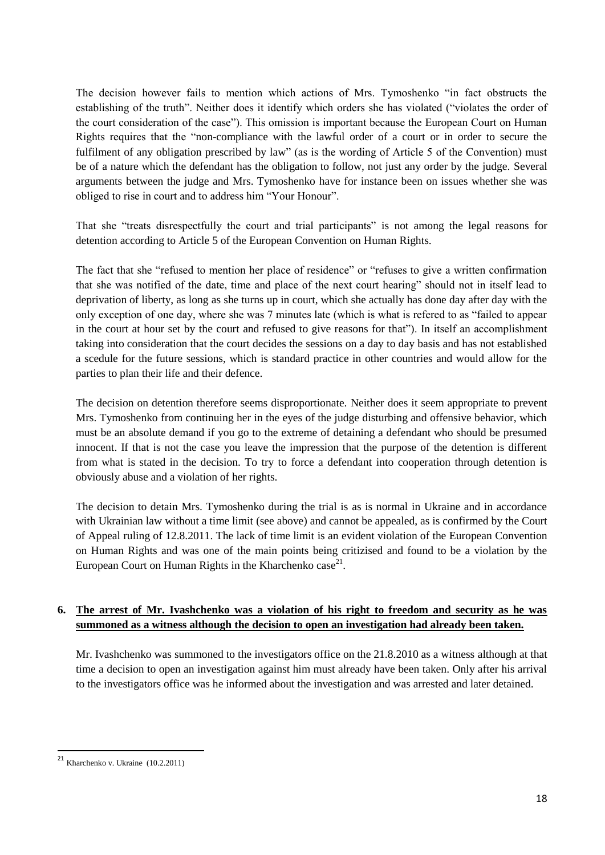The decision however fails to mention which actions of Mrs. Tymoshenko "in fact obstructs the establishing of the truth". Neither does it identify which orders she has violated ("violates the order of the court consideration of the case"). This omission is important because the European Court on Human Rights requires that the "non-compliance with the lawful order of a court or in order to secure the fulfilment of any obligation prescribed by law" (as is the wording of Article 5 of the Convention) must be of a nature which the defendant has the obligation to follow, not just any order by the judge. Several arguments between the judge and Mrs. Tymoshenko have for instance been on issues whether she was obliged to rise in court and to address him "Your Honour".

That she "treats disrespectfully the court and trial participants" is not among the legal reasons for detention according to Article 5 of the European Convention on Human Rights.

The fact that she "refused to mention her place of residence" or "refuses to give a written confirmation that she was notified of the date, time and place of the next court hearing" should not in itself lead to deprivation of liberty, as long as she turns up in court, which she actually has done day after day with the only exception of one day, where she was 7 minutes late (which is what is refered to as "failed to appear in the court at hour set by the court and refused to give reasons for that"). In itself an accomplishment taking into consideration that the court decides the sessions on a day to day basis and has not established a scedule for the future sessions, which is standard practice in other countries and would allow for the parties to plan their life and their defence.

The decision on detention therefore seems disproportionate. Neither does it seem appropriate to prevent Mrs. Tymoshenko from continuing her in the eyes of the judge disturbing and offensive behavior, which must be an absolute demand if you go to the extreme of detaining a defendant who should be presumed innocent. If that is not the case you leave the impression that the purpose of the detention is different from what is stated in the decision. To try to force a defendant into cooperation through detention is obviously abuse and a violation of her rights.

The decision to detain Mrs. Tymoshenko during the trial is as is normal in Ukraine and in accordance with Ukrainian law without a time limit (see above) and cannot be appealed, as is confirmed by the Court of Appeal ruling of 12.8.2011. The lack of time limit is an evident violation of the European Convention on Human Rights and was one of the main points being critizised and found to be a violation by the European Court on Human Rights in the Kharchenko case<sup>21</sup>.

# **6. The arrest of Mr. Ivashchenko was a violation of his right to freedom and security as he was summoned as a witness although the decision to open an investigation had already been taken.**

Mr. Ivashchenko was summoned to the investigators office on the 21.8.2010 as a witness although at that time a decision to open an investigation against him must already have been taken. Only after his arrival to the investigators office was he informed about the investigation and was arrested and later detained.

**.** 

 $21$  Kharchenko v. Ukraine (10.2.2011)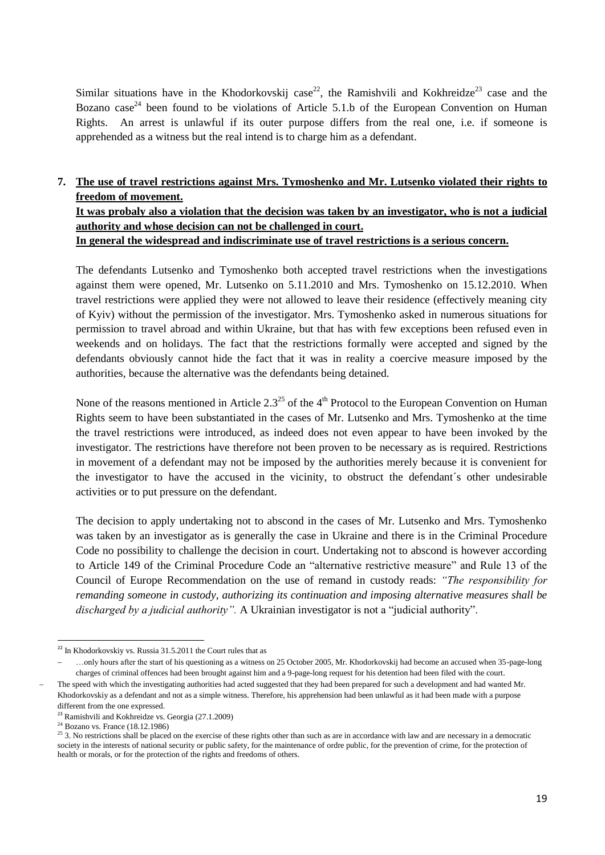Similar situations have in the Khodorkovskij case<sup>22</sup>, the Ramishvili and Kokhreidze<sup>23</sup> case and the Bozano case<sup>24</sup> been found to be violations of Article 5.1.b of the European Convention on Human Rights. An arrest is unlawful if its outer purpose differs from the real one, i.e. if someone is apprehended as a witness but the real intend is to charge him as a defendant.

# **7. The use of travel restrictions against Mrs. Tymoshenko and Mr. Lutsenko violated their rights to freedom of movement.**

#### **It was probaly also a violation that the decision was taken by an investigator, who is not a judicial authority and whose decision can not be challenged in court. In general the widespread and indiscriminate use of travel restrictions is a serious concern.**

The defendants Lutsenko and Tymoshenko both accepted travel restrictions when the investigations against them were opened, Mr. Lutsenko on 5.11.2010 and Mrs. Tymoshenko on 15.12.2010. When travel restrictions were applied they were not allowed to leave their residence (effectively meaning city of Kyiv) without the permission of the investigator. Mrs. Tymoshenko asked in numerous situations for permission to travel abroad and within Ukraine, but that has with few exceptions been refused even in weekends and on holidays. The fact that the restrictions formally were accepted and signed by the defendants obviously cannot hide the fact that it was in reality a coercive measure imposed by the authorities, because the alternative was the defendants being detained.

None of the reasons mentioned in Article  $2.3^{25}$  of the  $4<sup>th</sup>$  Protocol to the European Convention on Human Rights seem to have been substantiated in the cases of Mr. Lutsenko and Mrs. Tymoshenko at the time the travel restrictions were introduced, as indeed does not even appear to have been invoked by the investigator. The restrictions have therefore not been proven to be necessary as is required. Restrictions in movement of a defendant may not be imposed by the authorities merely because it is convenient for the investigator to have the accused in the vicinity, to obstruct the defendant´s other undesirable activities or to put pressure on the defendant.

The decision to apply undertaking not to abscond in the cases of Mr. Lutsenko and Mrs. Tymoshenko was taken by an investigator as is generally the case in Ukraine and there is in the Criminal Procedure Code no possibility to challenge the decision in court. Undertaking not to abscond is however according to Article 149 of the Criminal Procedure Code an "alternative restrictive measure" and Rule 13 of the Council of Europe Recommendation on the use of remand in custody reads: *"The responsibility for remanding someone in custody, authorizing its continuation and imposing alternative measures shall be discharged by a judicial authority".* A Ukrainian investigator is not a "judicial authority".

**<sup>.</sup>**  $22$  In Khodorkovskiy vs. Russia 31.5.2011 the Court rules that as

…only hours after the start of his questioning as a witness on 25 October 2005, Mr. Khodorkovskij had become an accused when 35-page-long charges of criminal offences had been brought against him and a 9-page-long request for his detention had been filed with the court. The speed with which the investigating authorities had acted suggested that they had been prepared for such a development and had wanted Mr. Khodorkovskiy as a defendant and not as a simple witness. Therefore, his apprehension had been unlawful as it had been made with a purpose different from the one expressed.

<sup>23</sup> Ramishvili and Kokhreidze vs. Georgia (27.1.2009)

<sup>&</sup>lt;sup>24</sup> Bozano vs. France (18.12.1986)

 $25$  3. No restrictions shall be placed on the exercise of these rights other than such as are in accordance with law and are necessary in a democratic society in the interests of national security or public safety, for the maintenance of ordre public, for the prevention of crime, for the protection of health or morals, or for the protection of the rights and freedoms of others.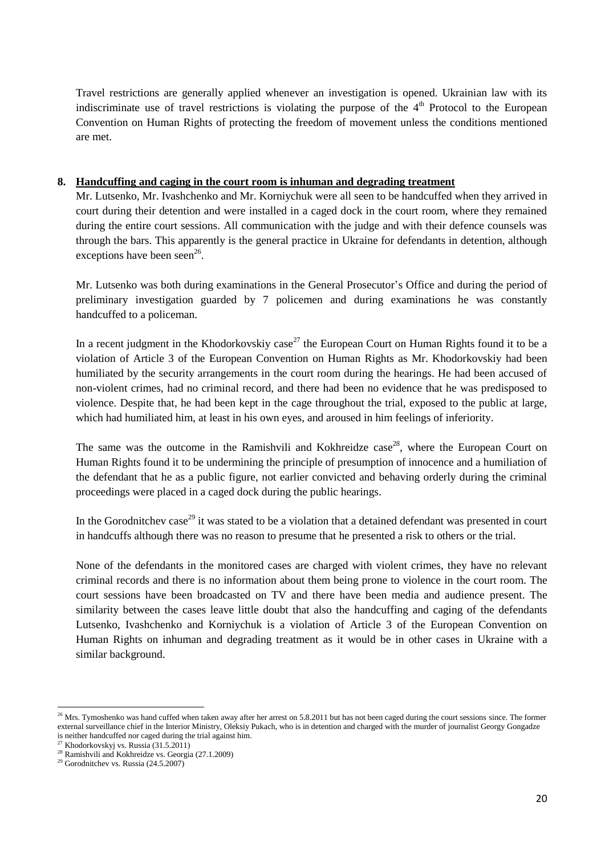Travel restrictions are generally applied whenever an investigation is opened. Ukrainian law with its indiscriminate use of travel restrictions is violating the purpose of the  $4<sup>th</sup>$  Protocol to the European Convention on Human Rights of protecting the freedom of movement unless the conditions mentioned are met.

#### **8. Handcuffing and caging in the court room is inhuman and degrading treatment**

Mr. Lutsenko, Mr. Ivashchenko and Mr. Korniychuk were all seen to be handcuffed when they arrived in court during their detention and were installed in a caged dock in the court room, where they remained during the entire court sessions. All communication with the judge and with their defence counsels was through the bars. This apparently is the general practice in Ukraine for defendants in detention, although exceptions have been seen $^{26}$ .

Mr. Lutsenko was both during examinations in the General Prosecutor's Office and during the period of preliminary investigation guarded by 7 policemen and during examinations he was constantly handcuffed to a policeman.

In a recent judgment in the Khodorkovskiy case<sup>27</sup> the European Court on Human Rights found it to be a violation of Article 3 of the European Convention on Human Rights as Mr. Khodorkovskiy had been humiliated by the security arrangements in the court room during the hearings. He had been accused of non-violent crimes, had no criminal record, and there had been no evidence that he was predisposed to violence. Despite that, he had been kept in the cage throughout the trial, exposed to the public at large, which had humiliated him, at least in his own eyes, and aroused in him feelings of inferiority.

The same was the outcome in the Ramishvili and Kokhreidze case<sup>28</sup>, where the European Court on Human Rights found it to be undermining the principle of presumption of innocence and a humiliation of the defendant that he as a public figure, not earlier convicted and behaving orderly during the criminal proceedings were placed in a caged dock during the public hearings.

In the Gorodnitchev case<sup>29</sup> it was stated to be a violation that a detained defendant was presented in court in handcuffs although there was no reason to presume that he presented a risk to others or the trial.

None of the defendants in the monitored cases are charged with violent crimes, they have no relevant criminal records and there is no information about them being prone to violence in the court room. The court sessions have been broadcasted on TV and there have been media and audience present. The similarity between the cases leave little doubt that also the handcuffing and caging of the defendants Lutsenko, Ivashchenko and Korniychuk is a violation of Article 3 of the European Convention on Human Rights on inhuman and degrading treatment as it would be in other cases in Ukraine with a similar background.

1

 $^{26}$  Mrs. Tymoshenko was hand cuffed when taken away after her arrest on 5.8.2011 but has not been caged during the court sessions since. The former external surveillance chief in the Interior Ministry, Oleksiy Pukach, who is in detention and charged with the murder of journalist Georgy Gongadze is neither handcuffed nor caged during the trial against him.

<sup>&</sup>lt;sup>27</sup> Khodorkovskyj vs. Russia  $(31.5.2011)$ 

<sup>28</sup> Ramishvili and Kokhreidze vs. Georgia (27.1.2009)

 $29$  Gorodnitchev vs. Russia (24.5.2007)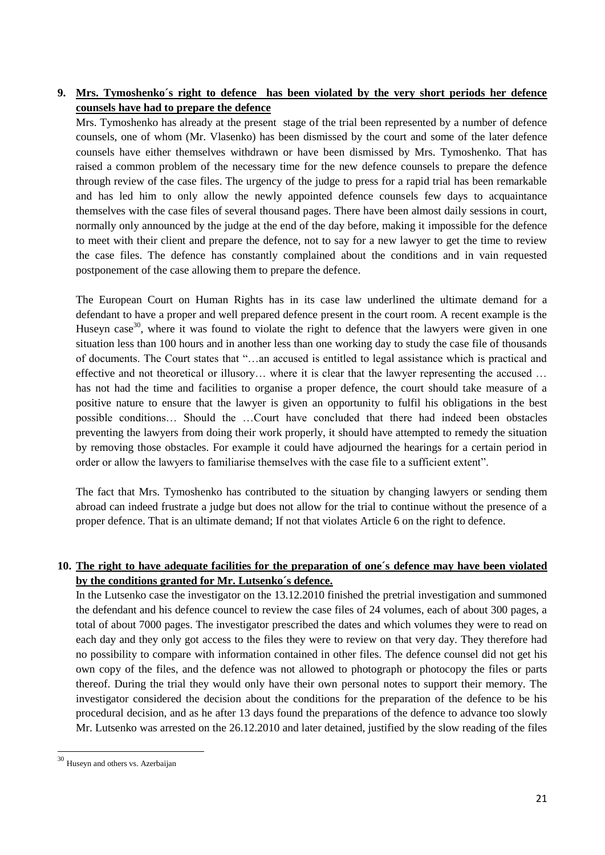# **9. Mrs. Tymoshenko´s right to defence has been violated by the very short periods her defence counsels have had to prepare the defence**

Mrs. Tymoshenko has already at the present stage of the trial been represented by a number of defence counsels, one of whom (Mr. Vlasenko) has been dismissed by the court and some of the later defence counsels have either themselves withdrawn or have been dismissed by Mrs. Tymoshenko. That has raised a common problem of the necessary time for the new defence counsels to prepare the defence through review of the case files. The urgency of the judge to press for a rapid trial has been remarkable and has led him to only allow the newly appointed defence counsels few days to acquaintance themselves with the case files of several thousand pages. There have been almost daily sessions in court, normally only announced by the judge at the end of the day before, making it impossible for the defence to meet with their client and prepare the defence, not to say for a new lawyer to get the time to review the case files. The defence has constantly complained about the conditions and in vain requested postponement of the case allowing them to prepare the defence.

The European Court on Human Rights has in its case law underlined the ultimate demand for a defendant to have a proper and well prepared defence present in the court room. A recent example is the Huseyn case<sup>30</sup>, where it was found to violate the right to defence that the lawyers were given in one situation less than 100 hours and in another less than one working day to study the case file of thousands of documents. The Court states that "…an accused is entitled to legal assistance which is practical and effective and not theoretical or illusory… where it is clear that the lawyer representing the accused … has not had the time and facilities to organise a proper defence, the court should take measure of a positive nature to ensure that the lawyer is given an opportunity to fulfil his obligations in the best possible conditions… Should the …Court have concluded that there had indeed been obstacles preventing the lawyers from doing their work properly, it should have attempted to remedy the situation by removing those obstacles. For example it could have adjourned the hearings for a certain period in order or allow the lawyers to familiarise themselves with the case file to a sufficient extent".

The fact that Mrs. Tymoshenko has contributed to the situation by changing lawyers or sending them abroad can indeed frustrate a judge but does not allow for the trial to continue without the presence of a proper defence. That is an ultimate demand; If not that violates Article 6 on the right to defence.

# **10. The right to have adequate facilities for the preparation of one´s defence may have been violated by the conditions granted for Mr. Lutsenko´s defence.**

In the Lutsenko case the investigator on the 13.12.2010 finished the pretrial investigation and summoned the defendant and his defence councel to review the case files of 24 volumes, each of about 300 pages, a total of about 7000 pages. The investigator prescribed the dates and which volumes they were to read on each day and they only got access to the files they were to review on that very day. They therefore had no possibility to compare with information contained in other files. The defence counsel did not get his own copy of the files, and the defence was not allowed to photograph or photocopy the files or parts thereof. During the trial they would only have their own personal notes to support their memory. The investigator considered the decision about the conditions for the preparation of the defence to be his procedural decision, and as he after 13 days found the preparations of the defence to advance too slowly Mr. Lutsenko was arrested on the 26.12.2010 and later detained, justified by the slow reading of the files

**.** 

<sup>&</sup>lt;sup>30</sup> Huseyn and others vs. Azerbaijan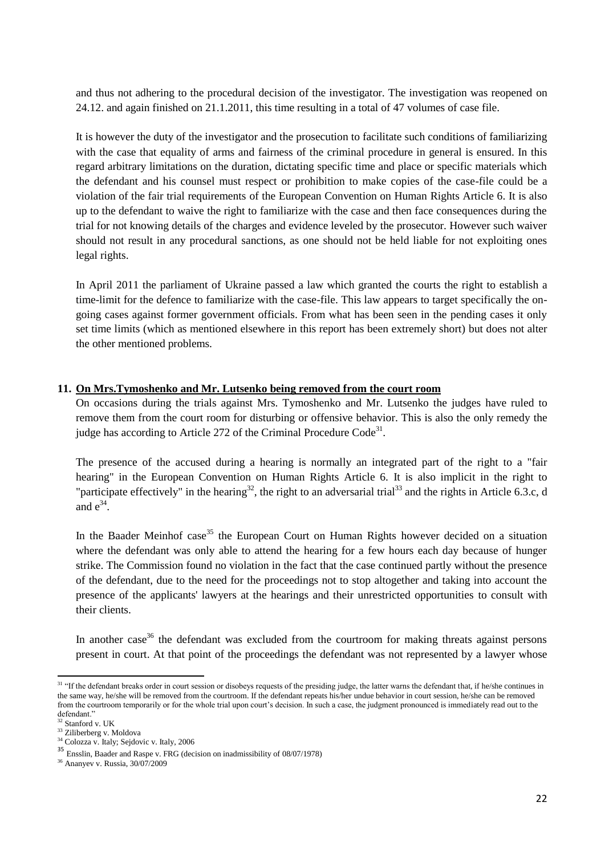and thus not adhering to the procedural decision of the investigator. The investigation was reopened on 24.12. and again finished on 21.1.2011, this time resulting in a total of 47 volumes of case file.

It is however the duty of the investigator and the prosecution to facilitate such conditions of familiarizing with the case that equality of arms and fairness of the criminal procedure in general is ensured. In this regard arbitrary limitations on the duration, dictating specific time and place or specific materials which the defendant and his counsel must respect or prohibition to make copies of the case-file could be a violation of the fair trial requirements of the European Convention on Human Rights Article 6. It is also up to the defendant to waive the right to familiarize with the case and then face consequences during the trial for not knowing details of the charges and evidence leveled by the prosecutor. However such waiver should not result in any procedural sanctions, as one should not be held liable for not exploiting ones legal rights.

In April 2011 the parliament of Ukraine passed a law which granted the courts the right to establish a time-limit for the defence to familiarize with the case-file. This law appears to target specifically the ongoing cases against former government officials. From what has been seen in the pending cases it only set time limits (which as mentioned elsewhere in this report has been extremely short) but does not alter the other mentioned problems.

#### **11. On Mrs.Tymoshenko and Mr. Lutsenko being removed from the court room**

On occasions during the trials against Mrs. Tymoshenko and Mr. Lutsenko the judges have ruled to remove them from the court room for disturbing or offensive behavior. This is also the only remedy the judge has according to Article 272 of the Criminal Procedure Code<sup>31</sup>.

The presence of the accused during a hearing is normally an integrated part of the right to a "fair hearing" in the European Convention on Human Rights Article 6. It is also implicit in the right to "participate effectively" in the hearing<sup>32</sup>, the right to an adversarial trial<sup>33</sup> and the rights in Article 6.3.c, d and  $e^{34}$ .

In the Baader Meinhof case<sup>35</sup> the European Court on Human Rights however decided on a situation where the defendant was only able to attend the hearing for a few hours each day because of hunger strike. The Commission found no violation in the fact that the case continued partly without the presence of the defendant, due to the need for the proceedings not to stop altogether and taking into account the presence of the applicants' lawyers at the hearings and their unrestricted opportunities to consult with their clients.

In another case<sup>36</sup> the defendant was excluded from the courtroom for making threats against persons present in court. At that point of the proceedings the defendant was not represented by a lawyer whose

**.** 

<sup>&</sup>lt;sup>31</sup> "If the defendant breaks order in court session or disobeys requests of the presiding judge, the latter warns the defendant that, if he/she continues in the same way, he/she will be removed from the courtroom. If the defendant repeats his/her undue behavior in court session, he/she can be removed from the courtroom temporarily or for the whole trial upon court's decision. In such a case, the judgment pronounced is immediately read out to the defendant."

Stanford v. UK

<sup>&</sup>lt;sup>33</sup> Ziliberberg v. Moldova

 $34$  Colozza v. Italy; Sejdovic v. Italy, 2006

<sup>35</sup> Ensslin, Baader and Raspe v. FRG (decision on inadmissibility of 08/07/1978)

<sup>36</sup> Ananyev v. Russia, 30/07/2009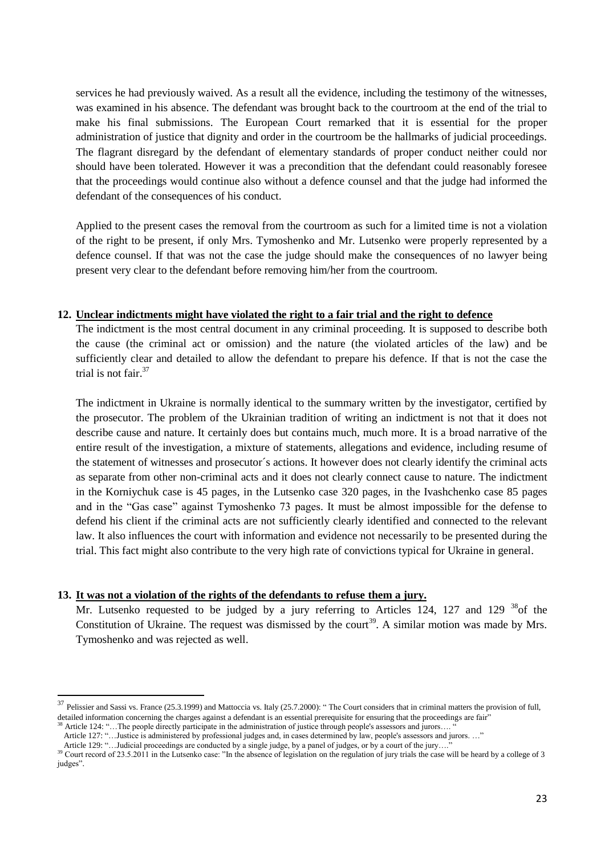services he had previously waived. As a result all the evidence, including the testimony of the witnesses, was examined in his absence. The defendant was brought back to the courtroom at the end of the trial to make his final submissions. The European Court remarked that it is essential for the proper administration of justice that dignity and order in the courtroom be the hallmarks of judicial proceedings. The flagrant disregard by the defendant of elementary standards of proper conduct neither could nor should have been tolerated. However it was a precondition that the defendant could reasonably foresee that the proceedings would continue also without a defence counsel and that the judge had informed the defendant of the consequences of his conduct.

Applied to the present cases the removal from the courtroom as such for a limited time is not a violation of the right to be present, if only Mrs. Tymoshenko and Mr. Lutsenko were properly represented by a defence counsel. If that was not the case the judge should make the consequences of no lawyer being present very clear to the defendant before removing him/her from the courtroom.

#### **12. Unclear indictments might have violated the right to a fair trial and the right to defence**

The indictment is the most central document in any criminal proceeding. It is supposed to describe both the cause (the criminal act or omission) and the nature (the violated articles of the law) and be sufficiently clear and detailed to allow the defendant to prepare his defence. If that is not the case the trial is not fair.<sup>37</sup>

The indictment in Ukraine is normally identical to the summary written by the investigator, certified by the prosecutor. The problem of the Ukrainian tradition of writing an indictment is not that it does not describe cause and nature. It certainly does but contains much, much more. It is a broad narrative of the entire result of the investigation, a mixture of statements, allegations and evidence, including resume of the statement of witnesses and prosecutor´s actions. It however does not clearly identify the criminal acts as separate from other non-criminal acts and it does not clearly connect cause to nature. The indictment in the Korniychuk case is 45 pages, in the Lutsenko case 320 pages, in the Ivashchenko case 85 pages and in the "Gas case" against Tymoshenko 73 pages. It must be almost impossible for the defense to defend his client if the criminal acts are not sufficiently clearly identified and connected to the relevant law. It also influences the court with information and evidence not necessarily to be presented during the trial. This fact might also contribute to the very high rate of convictions typical for Ukraine in general.

#### **13. It was not a violation of the rights of the defendants to refuse them a jury.**

Mr. Lutsenko requested to be judged by a jury referring to Articles 124, 127 and 129  $^{38}$  of the Constitution of Ukraine. The request was dismissed by the court<sup>39</sup>. A similar motion was made by Mrs. Tymoshenko and was rejected as well.

 $\overline{a}$ 

 $37$  Pelissier and Sassi vs. France (25.3.1999) and Mattoccia vs. Italy (25.7.2000): "The Court considers that in criminal matters the provision of full, detailed information concerning the charges against a defendant is an essential prerequisite for ensuring that the proceedings are fair"

Article 124: "...The people directly participate in the administration of justice through people's assessors and jurors...

Article 127: "…Justice is administered by professional judges and, in cases determined by law, people's assessors and jurors. …"

Article 129: "...Judicial proceedings are conducted by a single judge, by a panel of judges, or by a court of the jury...."

<sup>&</sup>lt;sup>39</sup> Court record of 23.5.2011 in the Lutsenko case: "In the absence of legislation on the regulation of jury trials the case will be heard by a college of 3 judges".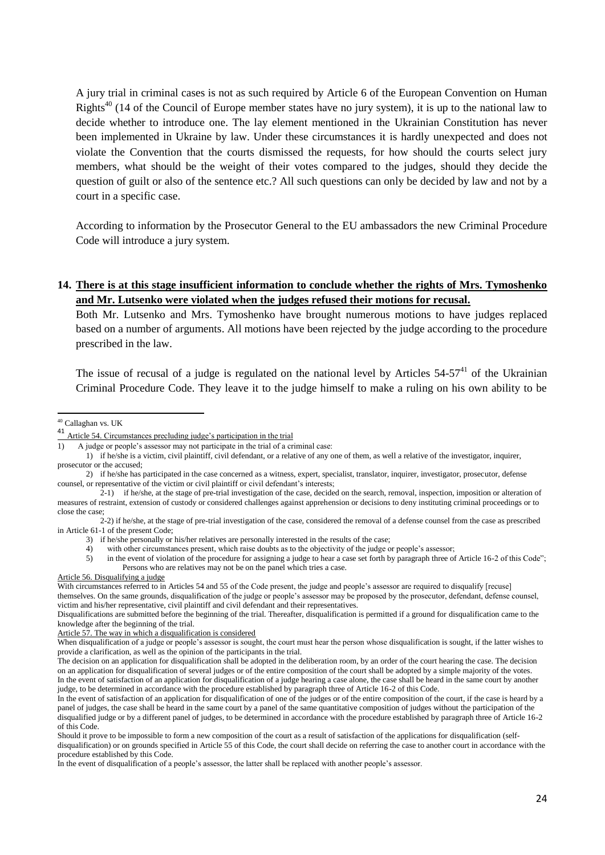A jury trial in criminal cases is not as such required by Article 6 of the European Convention on Human Rights<sup>40</sup> (14 of the Council of Europe member states have no jury system), it is up to the national law to decide whether to introduce one. The lay element mentioned in the Ukrainian Constitution has never been implemented in Ukraine by law. Under these circumstances it is hardly unexpected and does not violate the Convention that the courts dismissed the requests, for how should the courts select jury members, what should be the weight of their votes compared to the judges, should they decide the question of guilt or also of the sentence etc.? All such questions can only be decided by law and not by a court in a specific case.

According to information by the Prosecutor General to the EU ambassadors the new Criminal Procedure Code will introduce a jury system.

#### **14. There is at this stage insufficient information to conclude whether the rights of Mrs. Tymoshenko and Mr. Lutsenko were violated when the judges refused their motions for recusal.**

Both Mr. Lutsenko and Mrs. Tymoshenko have brought numerous motions to have judges replaced based on a number of arguments. All motions have been rejected by the judge according to the procedure prescribed in the law.

The issue of recusal of a judge is regulated on the national level by Articles  $54-57<sup>41</sup>$  of the Ukrainian Criminal Procedure Code. They leave it to the judge himself to make a ruling on his own ability to be

Article 56. Disqualifying a judge

<sup>1</sup> 40 Callaghan vs. UK

<sup>41</sup> Article 54. Circumstances precluding judge's participation in the trial

<sup>1)</sup> A judge or people's assessor may not participate in the trial of a criminal case:

<sup>1)</sup> if he/she is a victim, civil plaintiff, civil defendant, or a relative of any one of them, as well a relative of the investigator, inquirer, prosecutor or the accused;

<sup>2)</sup> if he/she has participated in the case concerned as a witness, expert, specialist, translator, inquirer, investigator, prosecutor, defense counsel, or representative of the victim or civil plaintiff or civil defendant's interests;

 $2-1$  if he/she, at the stage of pre-trial investigation of the case, decided on the search, removal, inspection, imposition or alteration of measures of restraint, extension of custody or considered challenges against apprehension or decisions to deny instituting criminal proceedings or to close the case;

<sup>2-2)</sup> if he/she, at the stage of pre-trial investigation of the case, considered the removal of a defense counsel from the case as prescribed in Article 61-1 of the present Code;

<sup>3)</sup> if he/she personally or his/her relatives are personally interested in the results of the case;

<sup>4)</sup> with other circumstances present, which raise doubts as to the objectivity of the judge or people's assessor;

<sup>5)</sup> in the event of violation of the procedure for assigning a judge to hear a case set forth by paragraph three of Article 16-2 of this Code"; Persons who are relatives may not be on the panel which tries a case.

With circumstances referred to in Articles 54 and 55 of the Code present, the judge and people's assessor are required to disqualify [recuse] themselves. On the same grounds, disqualification of the judge or people's assessor may be proposed by the prosecutor, defendant, defense counsel, victim and his/her representative, civil plaintiff and civil defendant and their representatives.

Disqualifications are submitted before the beginning of the trial. Thereafter, disqualification is permitted if a ground for disqualification came to the knowledge after the beginning of the trial.

Article 57. The way in which a disqualification is considered

When disqualification of a judge or people's assessor is sought, the court must hear the person whose disqualification is sought, if the latter wishes to provide a clarification, as well as the opinion of the participants in the trial.

The decision on an application for disqualification shall be adopted in the deliberation room, by an order of the court hearing the case. The decision on an application for disqualification of several judges or of the entire composition of the court shall be adopted by a simple majority of the votes. In the event of satisfaction of an application for disqualification of a judge hearing a case alone, the case shall be heard in the same court by another judge, to be determined in accordance with the procedure established by paragraph three of Article 16-2 of this Code.

In the event of satisfaction of an application for disqualification of one of the judges or of the entire composition of the court, if the case is heard by a panel of judges, the case shall be heard in the same court by a panel of the same quantitative composition of judges without the participation of the disqualified judge or by a different panel of judges, to be determined in accordance with the procedure established by paragraph three of Article 16-2 of this Code.

Should it prove to be impossible to form a new composition of the court as a result of satisfaction of the applications for disqualification (selfdisqualification) or on grounds specified in Article 55 of this Code, the court shall decide on referring the case to another court in accordance with the procedure established by this Code.

In the event of disqualification of a people's assessor, the latter shall be replaced with another people's assessor.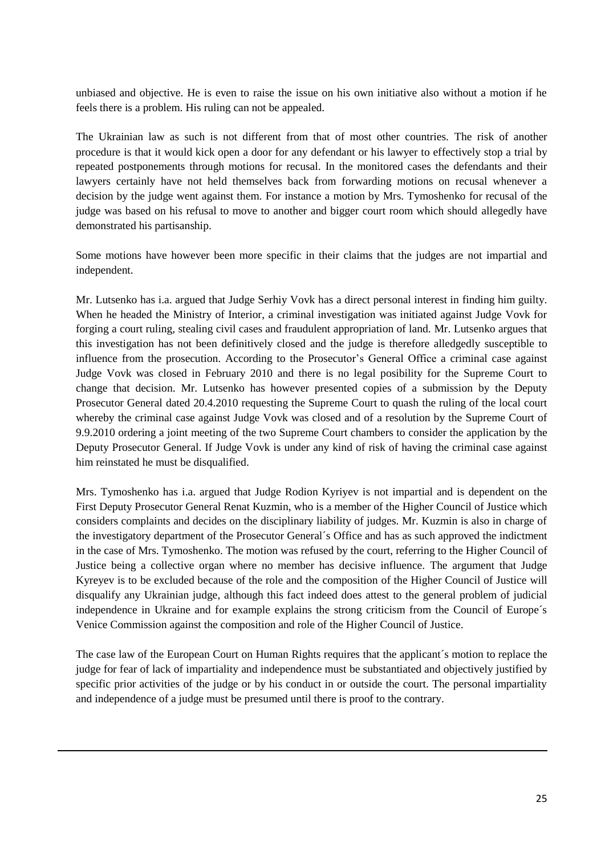unbiased and objective. He is even to raise the issue on his own initiative also without a motion if he feels there is a problem. His ruling can not be appealed.

The Ukrainian law as such is not different from that of most other countries. The risk of another procedure is that it would kick open a door for any defendant or his lawyer to effectively stop a trial by repeated postponements through motions for recusal. In the monitored cases the defendants and their lawyers certainly have not held themselves back from forwarding motions on recusal whenever a decision by the judge went against them. For instance a motion by Mrs. Tymoshenko for recusal of the judge was based on his refusal to move to another and bigger court room which should allegedly have demonstrated his partisanship.

Some motions have however been more specific in their claims that the judges are not impartial and independent.

Mr. Lutsenko has i.a. argued that Judge Serhiy Vovk has a direct personal interest in finding him guilty. When he headed the Ministry of Interior, a criminal investigation was initiated against Judge Vovk for forging a court ruling, stealing civil cases and fraudulent appropriation of land. Mr. Lutsenko argues that this investigation has not been definitively closed and the judge is therefore alledgedly susceptible to influence from the prosecution. According to the Prosecutor's General Office a criminal case against Judge Vovk was closed in February 2010 and there is no legal posibility for the Supreme Court to change that decision. Mr. Lutsenko has however presented copies of a submission by the Deputy Prosecutor General dated 20.4.2010 requesting the Supreme Court to quash the ruling of the local court whereby the criminal case against Judge Vovk was closed and of a resolution by the Supreme Court of 9.9.2010 ordering a joint meeting of the two Supreme Court chambers to consider the application by the Deputy Prosecutor General. If Judge Vovk is under any kind of risk of having the criminal case against him reinstated he must be disqualified.

Mrs. Tymoshenko has i.a. argued that Judge Rodion Kyriyev is not impartial and is dependent on the First Deputy Prosecutor General Renat Kuzmin, who is a member of the Higher Council of Justice which considers complaints and decides on the disciplinary liability of judges. Mr. Kuzmin is also in charge of the investigatory department of the Prosecutor General´s Office and has as such approved the indictment in the case of Mrs. Tymoshenko. The motion was refused by the court, referring to the Higher Council of Justice being a collective organ where no member has decisive influence. The argument that Judge Kyreyev is to be excluded because of the role and the composition of the Higher Council of Justice will disqualify any Ukrainian judge, although this fact indeed does attest to the general problem of judicial independence in Ukraine and for example explains the strong criticism from the Council of Europe´s Venice Commission against the composition and role of the Higher Council of Justice.

The case law of the European Court on Human Rights requires that the applicant´s motion to replace the judge for fear of lack of impartiality and independence must be substantiated and objectively justified by specific prior activities of the judge or by his conduct in or outside the court. The personal impartiality and independence of a judge must be presumed until there is proof to the contrary.

**.**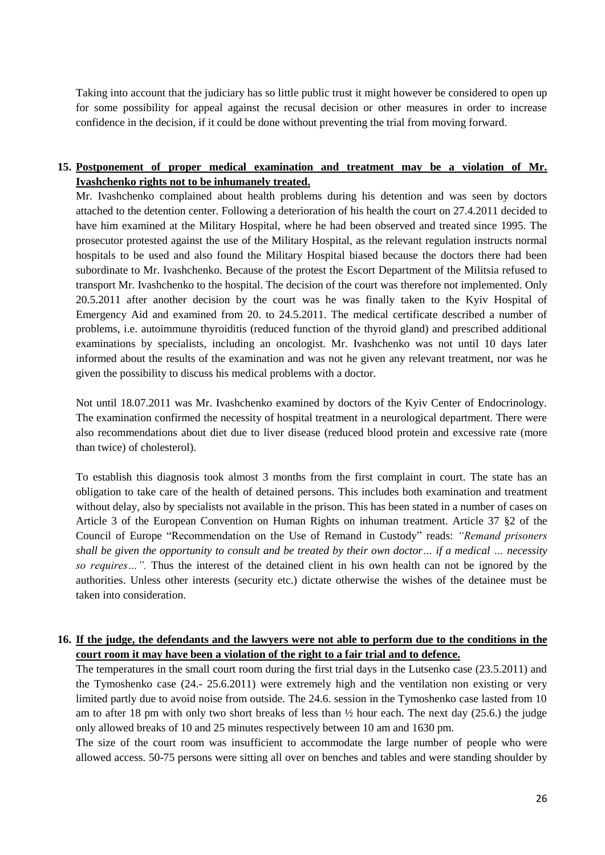Taking into account that the judiciary has so little public trust it might however be considered to open up for some possibility for appeal against the recusal decision or other measures in order to increase confidence in the decision, if it could be done without preventing the trial from moving forward.

# **15. Postponement of proper medical examination and treatment may be a violation of Mr. Ivashchenko rights not to be inhumanely treated.**

Mr. Ivashchenko complained about health problems during his detention and was seen by doctors attached to the detention center. Following a deterioration of his health the court on 27.4.2011 decided to have him examined at the Military Hospital, where he had been observed and treated since 1995. The prosecutor protested against the use of the Military Hospital, as the relevant regulation instructs normal hospitals to be used and also found the Military Hospital biased because the doctors there had been subordinate to Mr. Ivashchenko. Because of the protest the Escort Department of the Militsia refused to transport Mr. Ivashchenko to the hospital. The decision of the court was therefore not implemented. Only 20.5.2011 after another decision by the court was he was finally taken to the Kyiv Hospital of Emergency Aid and examined from 20. to 24.5.2011. The medical certificate described a number of problems, i.e. autoimmune thyroiditis (reduced function of the thyroid gland) and prescribed additional examinations by specialists, including an oncologist. Mr. Ivashchenko was not until 10 days later informed about the results of the examination and was not he given any relevant treatment, nor was he given the possibility to discuss his medical problems with a doctor.

Not until 18.07.2011 was Mr. Ivashchenko examined by doctors of the Kyiv Center of Endocrinology. The examination confirmed the necessity of hospital treatment in a neurological department. There were also recommendations about diet due to liver disease (reduced blood protein and excessive rate (more than twice) of cholesterol).

To establish this diagnosis took almost 3 months from the first complaint in court. The state has an obligation to take care of the health of detained persons. This includes both examination and treatment without delay, also by specialists not available in the prison. This has been stated in a number of cases on Article 3 of the European Convention on Human Rights on inhuman treatment. Article 37 §2 of the Council of Europe "Recommendation on the Use of Remand in Custody" reads: *"Remand prisoners shall be given the opportunity to consult and be treated by their own doctor… if a medical … necessity so requires…".* Thus the interest of the detained client in his own health can not be ignored by the authorities. Unless other interests (security etc.) dictate otherwise the wishes of the detainee must be taken into consideration.

#### **16. If the judge, the defendants and the lawyers were not able to perform due to the conditions in the court room it may have been a violation of the right to a fair trial and to defence.**

The temperatures in the small court room during the first trial days in the Lutsenko case (23.5.2011) and the Tymoshenko case (24.- 25.6.2011) were extremely high and the ventilation non existing or very limited partly due to avoid noise from outside. The 24.6. session in the Tymoshenko case lasted from 10 am to after 18 pm with only two short breaks of less than  $\frac{1}{2}$  hour each. The next day (25.6.) the judge only allowed breaks of 10 and 25 minutes respectively between 10 am and 1630 pm.

The size of the court room was insufficient to accommodate the large number of people who were allowed access. 50-75 persons were sitting all over on benches and tables and were standing shoulder by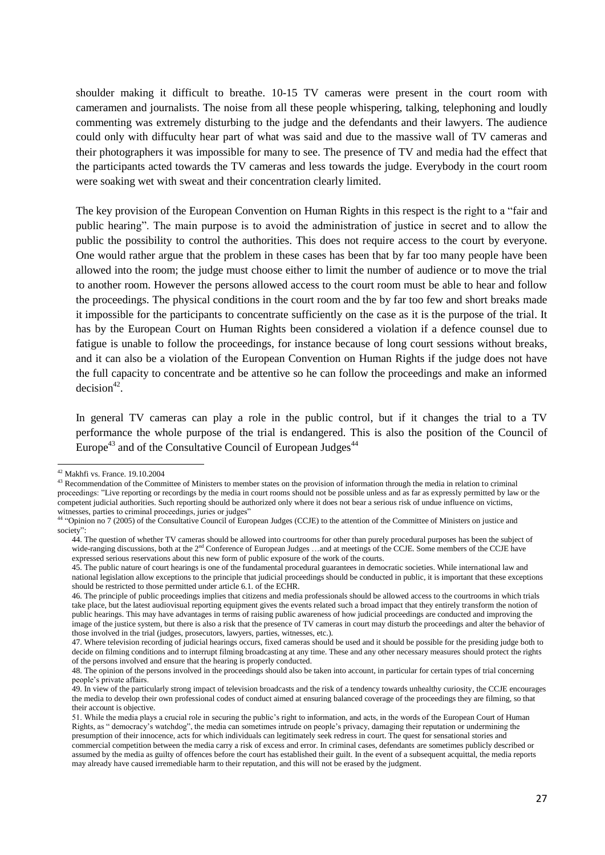shoulder making it difficult to breathe. 10-15 TV cameras were present in the court room with cameramen and journalists. The noise from all these people whispering, talking, telephoning and loudly commenting was extremely disturbing to the judge and the defendants and their lawyers. The audience could only with diffuculty hear part of what was said and due to the massive wall of TV cameras and their photographers it was impossible for many to see. The presence of TV and media had the effect that the participants acted towards the TV cameras and less towards the judge. Everybody in the court room were soaking wet with sweat and their concentration clearly limited.

The key provision of the European Convention on Human Rights in this respect is the right to a "fair and public hearing". The main purpose is to avoid the administration of justice in secret and to allow the public the possibility to control the authorities. This does not require access to the court by everyone. One would rather argue that the problem in these cases has been that by far too many people have been allowed into the room; the judge must choose either to limit the number of audience or to move the trial to another room. However the persons allowed access to the court room must be able to hear and follow the proceedings. The physical conditions in the court room and the by far too few and short breaks made it impossible for the participants to concentrate sufficiently on the case as it is the purpose of the trial. It has by the European Court on Human Rights been considered a violation if a defence counsel due to fatigue is unable to follow the proceedings, for instance because of long court sessions without breaks, and it can also be a violation of the European Convention on Human Rights if the judge does not have the full capacity to concentrate and be attentive so he can follow the proceedings and make an informed  $decision<sup>42</sup>$ .

In general TV cameras can play a role in the public control, but if it changes the trial to a TV performance the whole purpose of the trial is endangered. This is also the position of the Council of Europe<sup>43</sup> and of the Consultative Council of European Judges<sup> $44$ </sup>

1

 $42$  Makhfi vs. France. 19.10.2004

<sup>43</sup> Recommendation of the Committee of Ministers to member states on the provision of information through the media in relation to criminal proceedings: "Live reporting or recordings by the media in court rooms should not be possible unless and as far as expressly permitted by law or the competent judicial authorities. Such reporting should be authorized only where it does not bear a serious risk of undue influence on victims, witnesses, parties to criminal proceedings, juries or judges"

<sup>44</sup> "Opinion no 7 (2005) of the Consultative Council of European Judges (CCJE) to the attention of the Committee of Ministers on justice and society":

<sup>44.</sup> The question of whether TV cameras should be allowed into courtrooms for other than purely procedural purposes has been the subject of wide-ranging discussions, both at the 2<sup>nd</sup> Conference of European Judges ...and at meetings of the CCJE. Some members of the CCJE have expressed serious reservations about this new form of public exposure of the work of the courts.

<sup>45.</sup> The public nature of court hearings is one of the fundamental procedural guarantees in democratic societies. While international law and national legislation allow exceptions to the principle that judicial proceedings should be conducted in public, it is important that these exceptions should be restricted to those permitted under article 6.1. of the ECHR.

<sup>46.</sup> The principle of public proceedings implies that citizens and media professionals should be allowed access to the courtrooms in which trials take place, but the latest audiovisual reporting equipment gives the events related such a broad impact that they entirely transform the notion of public hearings. This may have advantages in terms of raising public awareness of how judicial proceedings are conducted and improving the image of the justice system, but there is also a risk that the presence of TV cameras in court may disturb the proceedings and alter the behavior of those involved in the trial (judges, prosecutors, lawyers, parties, witnesses, etc.).

<sup>47.</sup> Where television recording of judicial hearings occurs, fixed cameras should be used and it should be possible for the presiding judge both to decide on filming conditions and to interrupt filming broadcasting at any time. These and any other necessary measures should protect the rights of the persons involved and ensure that the hearing is properly conducted.

<sup>48.</sup> The opinion of the persons involved in the proceedings should also be taken into account, in particular for certain types of trial concerning people's private affairs.

<sup>49.</sup> In view of the particularly strong impact of television broadcasts and the risk of a tendency towards unhealthy curiosity, the CCJE encourages the media to develop their own professional codes of conduct aimed at ensuring balanced coverage of the proceedings they are filming, so that their account is objective.

<sup>51.</sup> While the media plays a crucial role in securing the public's right to information, and acts, in the words of the European Court of Human Rights, as " democracy's watchdog", the media can sometimes intrude on people's privacy, damaging their reputation or undermining the presumption of their innocence, acts for which individuals can legitimately seek redress in court. The quest for sensational stories and commercial competition between the media carry a risk of excess and error. In criminal cases, defendants are sometimes publicly described or assumed by the media as guilty of offences before the court has established their guilt. In the event of a subsequent acquittal, the media reports may already have caused irremediable harm to their reputation, and this will not be erased by the judgment.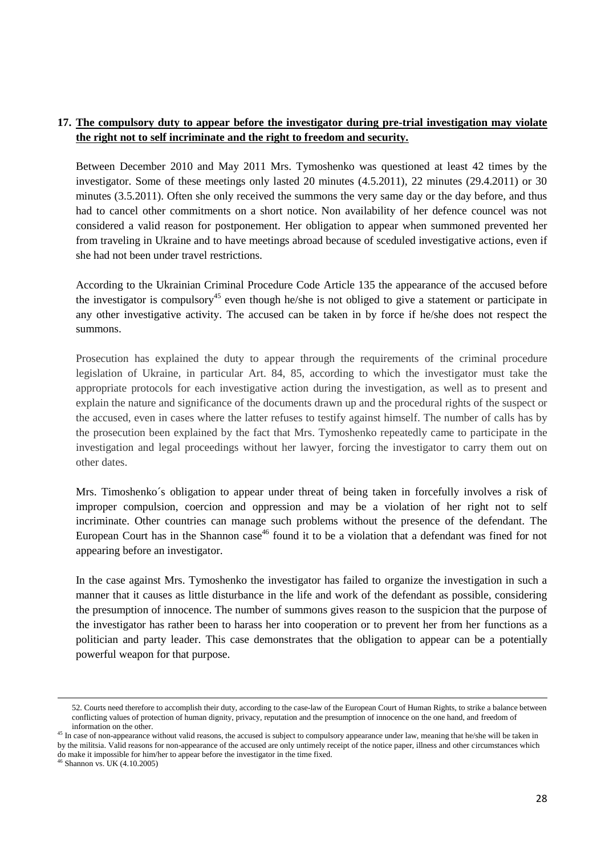#### **17. The compulsory duty to appear before the investigator during pre-trial investigation may violate the right not to self incriminate and the right to freedom and security.**

Between December 2010 and May 2011 Mrs. Tymoshenko was questioned at least 42 times by the investigator. Some of these meetings only lasted 20 minutes (4.5.2011), 22 minutes (29.4.2011) or 30 minutes (3.5.2011). Often she only received the summons the very same day or the day before, and thus had to cancel other commitments on a short notice. Non availability of her defence councel was not considered a valid reason for postponement. Her obligation to appear when summoned prevented her from traveling in Ukraine and to have meetings abroad because of sceduled investigative actions, even if she had not been under travel restrictions.

According to the Ukrainian Criminal Procedure Code Article 135 the appearance of the accused before the investigator is compulsory<sup>45</sup> even though he/she is not obliged to give a statement or participate in any other investigative activity. The accused can be taken in by force if he/she does not respect the summons.

Prosecution has explained the duty to appear through the requirements of the criminal procedure legislation of Ukraine, in particular Art. 84, 85, according to which the investigator must take the appropriate protocols for each investigative action during the investigation, as well as to present and explain the nature and significance of the documents drawn up and the procedural rights of the suspect or the accused, even in cases where the latter refuses to testify against himself. The number of calls has by the prosecution been explained by the fact that Mrs. Tymoshenko repeatedly came to participate in the investigation and legal proceedings without her lawyer, forcing the investigator to carry them out on other dates.

Mrs. Timoshenko´s obligation to appear under threat of being taken in forcefully involves a risk of improper compulsion, coercion and oppression and may be a violation of her right not to self incriminate. Other countries can manage such problems without the presence of the defendant. The European Court has in the Shannon case<sup>46</sup> found it to be a violation that a defendant was fined for not appearing before an investigator.

In the case against Mrs. Tymoshenko the investigator has failed to organize the investigation in such a manner that it causes as little disturbance in the life and work of the defendant as possible, considering the presumption of innocence. The number of summons gives reason to the suspicion that the purpose of the investigator has rather been to harass her into cooperation or to prevent her from her functions as a politician and party leader. This case demonstrates that the obligation to appear can be a potentially powerful weapon for that purpose.

**.** 

<sup>52.</sup> Courts need therefore to accomplish their duty, according to the case-law of the European Court of Human Rights, to strike a balance between conflicting values of protection of human dignity, privacy, reputation and the presumption of innocence on the one hand, and freedom of information on the other.

<sup>&</sup>lt;sup>45</sup> In case of non-appearance without valid reasons, the accused is subject to compulsory appearance under law, meaning that he/she will be taken in by the militsia. Valid reasons for non-appearance of the accused are only untimely receipt of the notice paper, illness and other circumstances which do make it impossible for him/her to appear before the investigator in the time fixed.

<sup>46</sup> Shannon vs. UK (4.10.2005)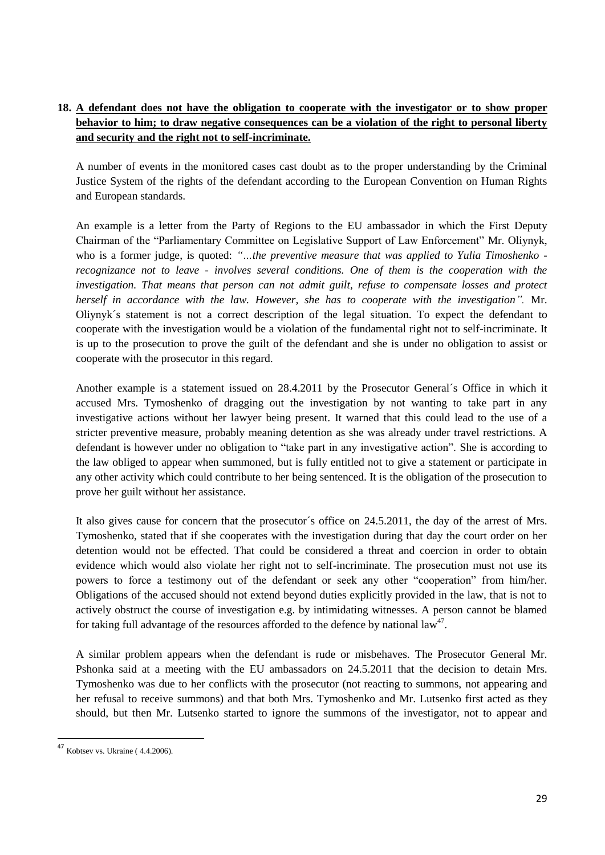# **18. A defendant does not have the obligation to cooperate with the investigator or to show proper behavior to him; to draw negative consequences can be a violation of the right to personal liberty and security and the right not to self-incriminate.**

A number of events in the monitored cases cast doubt as to the proper understanding by the Criminal Justice System of the rights of the defendant according to the European Convention on Human Rights and European standards.

An example is a letter from the Party of Regions to the EU ambassador in which the First Deputy Chairman of the "Parliamentary Committee on Legislative Support of Law Enforcement" Mr. Oliynyk, who is a former judge, is quoted: *"…the preventive measure that was applied to Yulia Timoshenko recognizance not to leave - involves several conditions. One of them is the cooperation with the investigation. That means that person can not admit guilt, refuse to compensate losses and protect herself in accordance with the law. However, she has to cooperate with the investigation".* Mr. Oliynyk´s statement is not a correct description of the legal situation. To expect the defendant to cooperate with the investigation would be a violation of the fundamental right not to self-incriminate. It is up to the prosecution to prove the guilt of the defendant and she is under no obligation to assist or cooperate with the prosecutor in this regard.

Another example is a statement issued on 28.4.2011 by the Prosecutor General´s Office in which it accused Mrs. Tymoshenko of dragging out the investigation by not wanting to take part in any investigative actions without her lawyer being present. It warned that this could lead to the use of a stricter preventive measure, probably meaning detention as she was already under travel restrictions. A defendant is however under no obligation to "take part in any investigative action". She is according to the law obliged to appear when summoned, but is fully entitled not to give a statement or participate in any other activity which could contribute to her being sentenced. It is the obligation of the prosecution to prove her guilt without her assistance.

It also gives cause for concern that the prosecutor´s office on 24.5.2011, the day of the arrest of Mrs. Tymoshenko, stated that if she cooperates with the investigation during that day the court order on her detention would not be effected. That could be considered a threat and coercion in order to obtain evidence which would also violate her right not to self-incriminate. The prosecution must not use its powers to force a testimony out of the defendant or seek any other "cooperation" from him/her. Obligations of the accused should not extend beyond duties explicitly provided in the law, that is not to actively obstruct the course of investigation e.g. by intimidating witnesses. A person cannot be blamed for taking full advantage of the resources afforded to the defence by national  $law^{47}$ .

A similar problem appears when the defendant is rude or misbehaves. The Prosecutor General Mr. Pshonka said at a meeting with the EU ambassadors on 24.5.2011 that the decision to detain Mrs. Tymoshenko was due to her conflicts with the prosecutor (not reacting to summons, not appearing and her refusal to receive summons) and that both Mrs. Tymoshenko and Mr. Lutsenko first acted as they should, but then Mr. Lutsenko started to ignore the summons of the investigator, not to appear and

 $\overline{a}$ 

 $47$  Kobtsev vs. Ukraine (4.4.2006).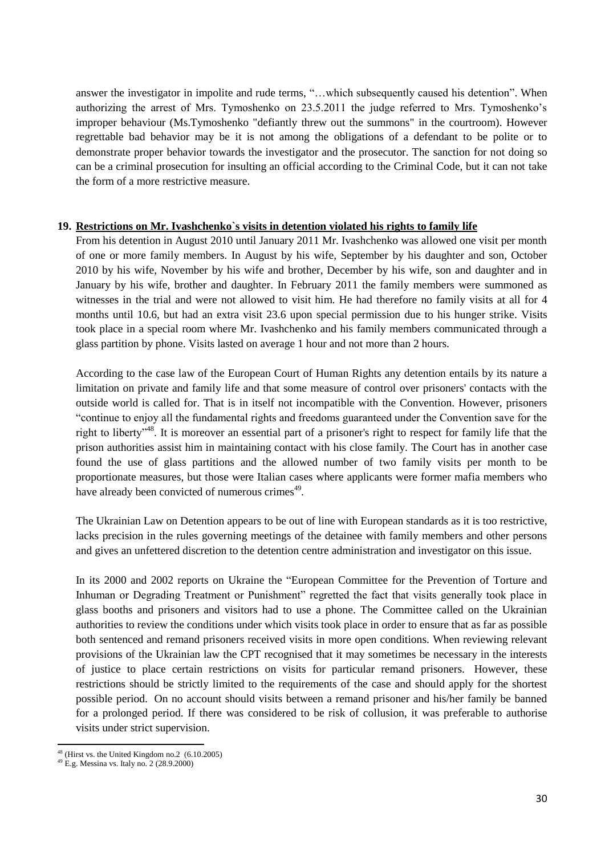answer the investigator in impolite and rude terms, "…which subsequently caused his detention". When authorizing the arrest of Mrs. Tymoshenko on 23.5.2011 the judge referred to Mrs. Tymoshenko's improper behaviour (Ms.Tymoshenko "defiantly threw out the summons" in the courtroom). However regrettable bad behavior may be it is not among the obligations of a defendant to be polite or to demonstrate proper behavior towards the investigator and the prosecutor. The sanction for not doing so can be a criminal prosecution for insulting an official according to the Criminal Code, but it can not take the form of a more restrictive measure.

#### **19. Restrictions on Mr. Ivashchenko`s visits in detention violated his rights to family life**

From his detention in August 2010 until January 2011 Mr. Ivashchenko was allowed one visit per month of one or more family members. In August by his wife, September by his daughter and son, October 2010 by his wife, November by his wife and brother, December by his wife, son and daughter and in January by his wife, brother and daughter. In February 2011 the family members were summoned as witnesses in the trial and were not allowed to visit him. He had therefore no family visits at all for 4 months until 10.6, but had an extra visit 23.6 upon special permission due to his hunger strike. Visits took place in a special room where Mr. Ivashchenko and his family members communicated through a glass partition by phone. Visits lasted on average 1 hour and not more than 2 hours.

According to the case law of the European Court of Human Rights any detention entails by its nature a limitation on private and family life and that some measure of control over prisoners' contacts with the outside world is called for. That is in itself not incompatible with the Convention. However, prisoners "continue to enjoy all the fundamental rights and freedoms guaranteed under the Convention save for the right to liberty"<sup>48</sup>. It is moreover an essential part of a prisoner's right to respect for family life that the prison authorities assist him in maintaining contact with his close family. The Court has in another case found the use of glass partitions and the allowed number of two family visits per month to be proportionate measures, but those were Italian cases where applicants were former mafia members who have already been convicted of numerous crimes<sup>49</sup>.

The Ukrainian Law on Detention appears to be out of line with European standards as it is too restrictive, lacks precision in the rules governing meetings of the detainee with family members and other persons and gives an unfettered discretion to the detention centre administration and investigator on this issue.

In its 2000 and 2002 reports on Ukraine the "European Committee for the Prevention of Torture and Inhuman or Degrading Treatment or Punishment" regretted the fact that visits generally took place in glass booths and prisoners and visitors had to use a phone. The Committee called on the Ukrainian authorities to review the conditions under which visits took place in order to ensure that as far as possible both sentenced and remand prisoners received visits in more open conditions. When reviewing relevant provisions of the Ukrainian law the CPT recognised that it may sometimes be necessary in the interests of justice to place certain restrictions on visits for particular remand prisoners. However, these restrictions should be strictly limited to the requirements of the case and should apply for the shortest possible period. On no account should visits between a remand prisoner and his/her family be banned for a prolonged period. If there was considered to be risk of collusion, it was preferable to authorise visits under strict supervision.

 $\overline{a}$  $48$  (Hirst vs. the United Kingdom no.2 (6.10.2005)

<sup>49</sup> E.g. Messina vs. Italy no. 2 (28.9.2000)